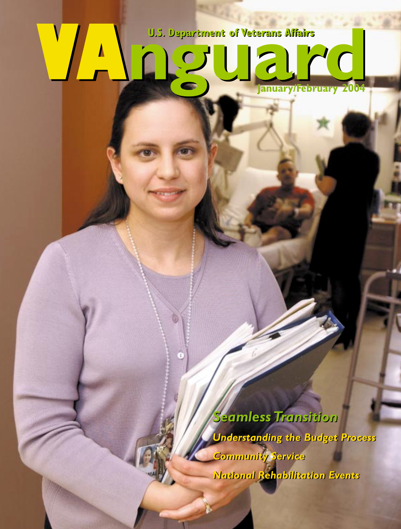## <span id="page-0-0"></span>**vartment of Veterans Affair**  $\frac{1}{2}$ **January/February 200** DJ

*Seamless Transition Seamless Transition Understanding the Budget Process Understanding the Budget Process Community Service Community Service National Rehabilitation Events National Rehabilitation Events*

**January 2004 12 October 2004 12:00:00 PM**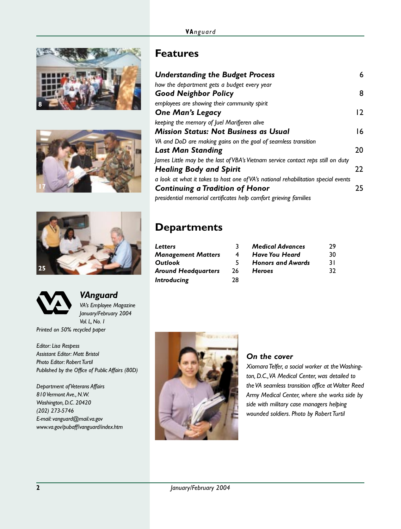







*VAnguard VA's Employee Magazine January/February 2004 Vol. L, No. 1 Printed on 50% recycled paper*

*Editor: Lisa Respess Assistant Editor: Matt Bristol Photo Editor: Robert Turtil Published by the Office of Public Affairs (80D)*

*Department of Veterans Affairs 810 Vermont Ave., N.W. Washington, D.C. 20420 (202) 273-5746 E-mail: vanguard@mail.va.gov www.va.gov/pubaff/vanguard/index.htm*

#### **Features**

| <b>Understanding the Budget Process</b>                                            | 6              |
|------------------------------------------------------------------------------------|----------------|
| how the department gets a budget every year                                        |                |
| Good Neighbor Policy                                                               | 8              |
| employees are showing their community spirit                                       |                |
| One Man's Legacy                                                                   | $\overline{2}$ |
| keeping the memory of Juel Marifjeren alive                                        |                |
| Mission Status: Not Business as Usual                                              | 16             |
| VA and DoD are making gains on the goal of seamless transition                     |                |
| <b>Last Man Standing</b>                                                           | 20             |
| James Little may be the last of VBA's Vietnam service contact reps still on duty   |                |
| <b>Healing Body and Spirit</b>                                                     | 22             |
| a look at what it takes to host one of VA's national rehabilitation special events |                |
| Continuing a Tradition of Honor                                                    | 25             |
| presidential memorial certificates help comfort grieving families                  |                |

#### **Departments**

| Letters             |    | <b>Medical Advances</b>  | 29  |
|---------------------|----|--------------------------|-----|
| Management Matters  | 4  | <b>Have You Heard</b>    | 30  |
| Outlook             | 5. | <b>Honors and Awards</b> | 3 I |
| Around Headquarters | 26 | <b>Heroes</b>            | 32  |
| Introducing         | 28 |                          |     |



#### *[On the cover](#page-0-0)*

*Xiomara Telfer, a social worker at the Washington, D.C., VA Medical Center, was detailed to the VA seamless transition office at Walter Reed Army Medical Center, where she works side by side with military case managers helping wounded soldiers. Photo by Robert Turtil*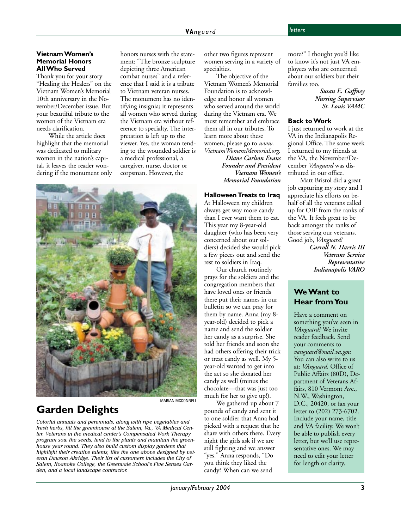#### <span id="page-2-0"></span>**Vietnam Women's Memorial Honors All Who Served**

Thank you for your story "Healing the Healers" on the Vietnam Women's Memorial 10th anniversary in the November/December issue. But your beautiful tribute to the women of the Vietnam era needs clarification.

While the article does highlight that the memorial was dedicated to military women in the nation's capital, it leaves the reader wondering if the monument only honors nurses with the statement: "The bronze sculpture depicting three American combat nurses" and a reference that I said it is a tribute to Vietnam veteran nurses. The monument has no identifying insignia; it represents all women who served during the Vietnam era without reference to specialty. The interpretation is left up to the viewer. Yes, the woman tending to the wounded soldier is a medical professional, a caregiver, nurse, doctor or corpsman. However, the



#### **Garden Delights**

MARIAN MCCONNELL

*Colorful annuals and perennials, along with ripe vegetables and fresh herbs, fill the greenhouse at the Salem, Va., VA Medical Center. Veterans in the medical center's Compensated Work Therapy program sow the seeds, tend to the plants and maintain the greenhouse year round. They also build custom display gardens that highlight their creative talents, like the one above designed by veteran Dawson Akridge. Their list of customers includes the City of Salem, Roanoke College, the Greenvale School's Five Senses Garden, and a local landscape contractor.*

other two figures represent women serving in a variety of specialties.

The objective of the Vietnam Women's Memorial Foundation is to acknowledge and honor all women who served around the world during the Vietnam era. We must remember and embrace them all in our tributes. To learn more about these women, please go to *www*. *VietnamWomensMemorial.org.*

*Diane Carlson Evans Founder and President Vietnam Women's Memorial Foundation*

#### **Halloween Treats to Iraq**

At Halloween my children always get way more candy than I ever want them to eat. This year my 8-year-old daughter (who has been very concerned about our soldiers) decided she would pick a few pieces out and send the rest to soldiers in Iraq.

Our church routinely prays for the soldiers and the congregation members that have loved ones or friends there put their names in our bulletin so we can pray for them by name. Anna (my 8 year-old) decided to pick a name and send the soldier her candy as a surprise. She told her friends and soon she had others offering their trick or treat candy as well. My 5 year-old wanted to get into the act so she donated her candy as well (minus the chocolate—that was just too much for her to give up!).

We gathered up about 7 pounds of candy and sent it to one soldier that Anna had picked with a request that he share with others there. Every night the girls ask if we are still fighting and we answer "yes." Anna responds, "Do you think they liked the candy? When can we send

more?" I thought you'd like to know it's not just VA employees who are concerned about our soldiers but their families too.

> *Susan E. Gaffney Nursing Supervisor St. Louis VAMC*

#### **Back to Work**

I just returned to work at the VA in the Indianapolis Regional Office. The same week I returned to my friends at the VA, the November/December *VAnguard* was distributed in our office.

Matt Bristol did a great job capturing my story and I appreciate his efforts on behalf of all the veterans called up for OIF from the ranks of the VA. It feels great to be back amongst the ranks of those serving our veterans. Good job, *VAnguard!*

*Carroll N. Harris III Veterans Service Representative Indianapolis VARO*

#### **We Want to Hear from You**

Have a comment on something you've seen in *VAnguard?* We invite reader feedback. Send your comments to *vanguard@mail.va.gov.* You can also write to us at: *VAnguard,* Office of Public Affairs (80D), Department of Veterans Affairs, 810 Vermont Ave., N.W., Washington, D.C., 20420, or fax your letter to (202) 273-6702. Include your name, title and VA facility. We won't be able to publish every letter, but we'll use representative ones. We may need to edit your letter for length or clarity.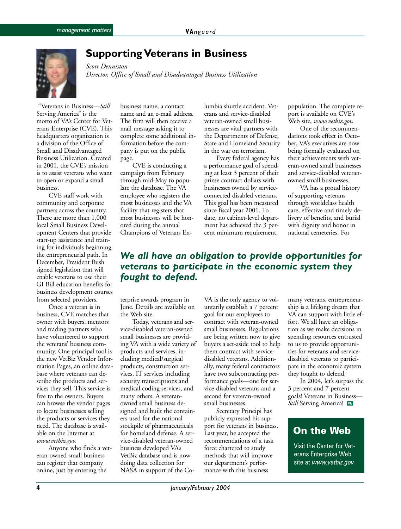<span id="page-3-0"></span>

#### **Supporting Veterans in Business**

*Scott Denniston Director, Office of Small and Disadvantaged Business Utilization*

 "Veterans in Business—*Still* Serving America" is the motto of VA's Center for Veterans Enterprise (CVE). This headquarters organization is a division of the Office of Small and Disadvantaged Business Utilization. Created in 2001, the CVE's mission is to assist veterans who want to open or expand a small business.

CVE staff work with community and corporate partners across the country. There are more than 1,000 local Small Business Development Centers that provide start-up assistance and training for individuals beginning the entrepreneurial path. In December, President Bush signed legislation that will enable veterans to use their GI Bill education benefits for business development courses from selected providers.

Once a veteran is in business, CVE matches that owner with buyers, mentors and trading partners who have volunteered to support the veterans' business community. One principal tool is the new VetBiz Vendor Information Pages, an online database where veterans can describe the products and services they sell. This service is free to the owners. Buyers can browse the vendor pages to locate businesses selling the products or services they need. The database is available on the Internet at *www.vetbiz.gov.*

Anyone who finds a veteran-owned small business can register that company online, just by entering the

business name, a contact name and an e-mail address. The firm will then receive a mail message asking it to complete some additional information before the company is put on the public page.

CVE is conducting a campaign from February through mid-May to populate the database. The VA employee who registers the most businesses and the VA facility that registers that most businesses will be honored during the annual Champions of Veterans Enlumbia shuttle accident. Veterans and service-disabled veteran-owned small businesses are vital partners with the Departments of Defense, State and Homeland Security in the war on terrorism.

Every federal agency has a performance goal of spending at least 3 percent of their prime contract dollars with businesses owned by serviceconnected disabled veterans. This goal has been measured since fiscal year 2001. To date, no cabinet-level department has achieved the 3 percent minimum requirement.

population. The complete report is available on CVE's Web site, *www.vetbiz.gov.*

One of the recommendations took effect in October. VA's executives are now being formally evaluated on their achievements with veteran-owned small businesses and service-disabled veteranowned small businesses.

VA has a proud history of supporting veterans through worldclass health care, effective and timely delivery of benefits, and burial with dignity and honor in national cemeteries. For

#### *We all have an obligation to provide opportunities for veterans to participate in the economic system they fought to defend.*

terprise awards program in June. Details are available on the Web site.

Today, veterans and service-disabled veteran-owned small businesses are providing VA with a wide variety of products and services, including medical/surgical products, construction services, IT services including security transcriptions and medical coding services, and many others. A veteranowned small business designed and built the containers used for the national stockpile of pharmaceuticals for homeland defense. A service-disabled veteran-owned business developed VA's VetBiz database and is now doing data collection for NASA in support of the Co-

VA is the only agency to voluntarily establish a 7 percent goal for our employees to contract with veteran-owned small businesses. Regulations are being written now to give buyers a set-aside tool to help them contract with servicedisabled veterans. Additionally, many federal contractors have two subcontracting performance goals—one for service-disabled veterans and a second for veteran-owned small businesses.

Secretary Principi has publicly expressed his support for veterans in business. Last year, he accepted the recommendations of a task force chartered to study methods that will improve our department's performance with this business

many veterans, entrepreneurship is a lifelong dream that VA can support with little effort. We all have an obligation as we make decisions in spending resources entrusted to us to provide opportunities for veterans and servicedisabled veterans to participate in the economic system they fought to defend.

In 2004, let's surpass the 3 percent and 7 percent goals! Veterans in Business— *Still* Serving America! VA

#### **On the Web**

Visit the Center for Veterans Enterprise Web site at www.vetbiz.gov.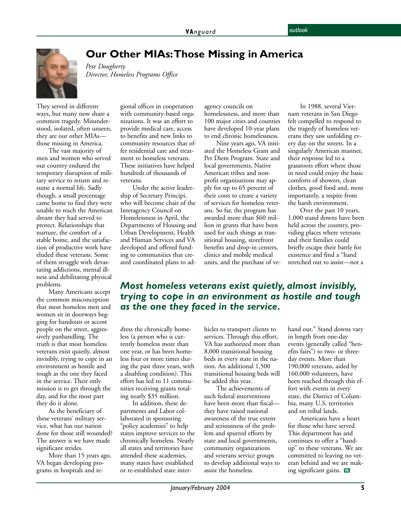<span id="page-4-0"></span>

**Our Other MIAs: Those Missing in America**

*Director, Homeless Programs Office*

*Pete Dougherty*

They served in different ways, but many now share a common tragedy. Misunderstood, isolated, often unseen, they are our other MIAs those missing in America.

The vast majority of men and women who served our country endured the temporary disruption of military service to return and resume a normal life. Sadly though, a small percentage came home to find they were unable to reach the American dream they had served to protect. Relationships that nurture, the comfort of a stable home, and the satisfaction of productive work have eluded these veterans. Some of them struggle with devastating addictions, mental illness and debilitating physical problems.

Many Americans accept the common misconception that most homeless men and women sit in doorways begging for handouts or accost people on the street, aggressively panhandling. The truth is that most homeless veterans exist quietly, almost invisibly, trying to cope in an environment as hostile and tough as the one they faced in the service. Their only mission is to get through the day, and for the most part they do it alone.

As the beneficiary of these veterans' military service, what has our nation done for those still wounded? The answer is we have made significant strides.

More than 15 years ago, VA began developing programs in hospitals and regional offices in cooperation with community-based organizations. It was an effort to provide medical care, access to benefits and new links to community resources that offer residential care and treatment to homeless veterans. These initiatives have helped hundreds of thousands of veterans.

Under the active leadership of Secretary Principi, who will become chair of the Interagency Council on Homelessness in April, the Departments of Housing and Urban Development, Health and Human Services and VA developed and offered funding to communities that created coordinated plans to adagency councils on homelessness, and more than 100 major cities and counties have developed 10-year plans to end chronic homelessness.

Nine years ago, VA initiated the Homeless Grant and Per Diem Program. State and local governments, Native American tribes and nonprofit organizations may apply for up to 65 percent of their costs to create a variety of services for homeless veterans. So far, the program has awarded more than \$60 million in grants that have been used for such things as transitional housing, storefront benefits and drop-in centers, clinics and mobile medical units, and the purchase of ve-

In 1988, several Vietnam veterans in San Diego felt compelled to respond to the tragedy of homeless veterans they saw unfolding every day on the streets. In a singularly American manner, their response led to a grassroots effort where those in need could enjoy the basic comforts of showers, clean clothes, good food and, most importantly, a respite from the harsh environment.

Over the past 10 years, 1,000 stand downs have been held across the country, providing places where veterans and their families could briefly escape their battle for existence and find a "hand stretched out to assist—not a

#### *Most homeless veterans exist quietly, almost invisibly, trying to cope in an environment as hostile and tough as the one they faced in the service.*

dress the chronically homeless (a person who is currently homeless more than one year, or has been homeless four or more times during the past three years, with a disabling condition). This effort has led to 11 communities receiving grants totaling nearly \$35 million.

In addition, these departments and Labor collaborated in sponsoring "policy academies" to help states improve services to the chronically homeless. Nearly all states and territories have attended these academies, many states have established or re-established state interhicles to transport clients to services. Through this effort, VA has authorized more than 8,000 transitional housing beds in every state in the nation. An additional 1,500 transitional housing beds will be added this year.

The achievements of such federal interventions have been more than fiscal they have raised national awareness of the true extent and seriousness of the problem and spurred efforts by state and local governments, community organizations and veterans service groups to develop additional ways to assist the homeless.

hand out." Stand downs vary in length from one-day events (generally called "benefits fairs") to two- or threeday events. More than 190,000 veterans, aided by 160,000 volunteers, have been reached through this effort with events in every state, the District of Columbia, many U.S. territories and on tribal lands.

Americans have a heart for those who have served. This department has and continues to offer a "handup" to these veterans. We are committed to leaving no veteran behind and we are making significant gains.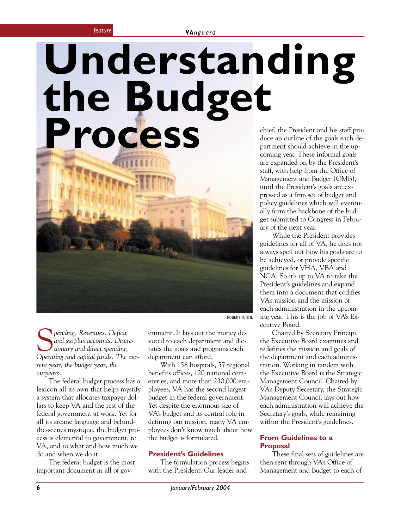**VA***nguard feature*

## <span id="page-5-0"></span>chief, the President and his staff produce an outline of the goals each department should achieve in the up-**Understanding the Budget Process**

coming year. These informal goals are expanded on by the President's staff, with help from the Office of Management and Budget (OMB), until the President's goals are expressed as a firm set of budget and policy guidelines which will eventually form the backbone of the budget submitted to Congress in February of the next year.

While the President provides guidelines for all of VA, he does not always spell out how his goals are to be achieved, or provide specific guidelines for VHA, VBA and NCA. So it's up to VA to take the President's guidelines and expand them into a document that codifies VA's mission and the mission of each administration in the upcoming year. This is the job of VA's Executive Board.

Chaired by Secretary Principi, the Executive Board examines and redefines the mission and goals of the department and each administration. Working in tandem with the Executive Board is the Strategic Management Council. Chaired by VA's Deputy Secretary, the Strategic Management Council lays out how each administration will achieve the Secretary's goals, while remaining within the President's guidelines.

#### **From Guidelines to a Proposal**

These final sets of guidelines are then sent through VA's Office of Management and Budget to each of

**S** pending. Revenues. Deficit<br>and surplus accounts. Disc<br>Oberating and cabital funds. The *and surplus accounts. Discretionary and direct spending. Operating and capital funds. The current year, the budget year, the outyears.*

The federal budget process has a lexicon all its own that helps mystify a system that allocates taxpayer dollars to keep VA and the rest of the federal government at work. Yet for all its arcane language and behindthe-scenes mystique, the budget process is elemental to government, to VA, and to what and how much we do and when we do it.

The federal budget is the most important document in all of government. It lays out the money devoted to each department and dictates the goals and programs each department can afford.

ROBERT TURTIL

With 158 hospitals, 57 regional benefits offices, 120 national cemeteries, and more than 230,000 employees, VA has the second largest budget in the federal government. Yet despite the enormous size of VA's budget and its central role in defining our mission, many VA employees don't know much about how the budget is formulated.

#### **President's Guidelines**

The formulation process begins with the President. Our leader and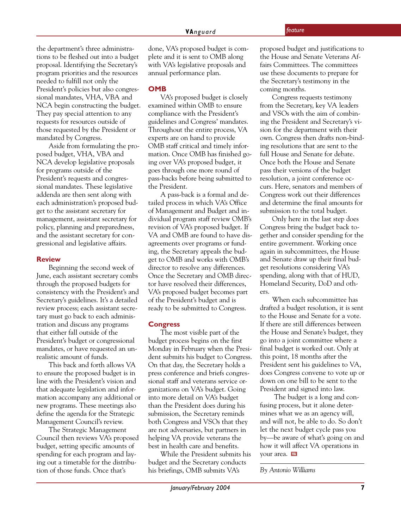the department's three administrations to be fleshed out into a budget proposal. Identifying the Secretary's program priorities and the resources needed to fulfill not only the President's policies but also congressional mandates, VHA, VBA and NCA begin constructing the budget. They pay special attention to any requests for resources outside of those requested by the President or mandated by Congress.

Aside from formulating the proposed budget, VHA, VBA and NCA develop legislative proposals for programs outside of the President's requests and congressional mandates. These legislative addenda are then sent along with each administration's proposed budget to the assistant secretary for management, assistant secretary for policy, planning and preparedness, and the assistant secretary for congressional and legislative affairs.

#### **Review**

Beginning the second week of June, each assistant secretary combs through the proposed budgets for consistency with the President's and Secretary's guidelines. It's a detailed review process; each assistant secretary must go back to each administration and discuss any programs that either fall outside of the President's budget or congressional mandates, or have requested an unrealistic amount of funds.

This back and forth allows VA to ensure the proposed budget is in line with the President's vision and that adequate legislation and information accompany any additional or new programs. These meetings also define the agenda for the Strategic Management Council's review.

The Strategic Management Council then reviews VA's proposed budget, setting specific amounts of spending for each program and laying out a timetable for the distribution of those funds. Once that's

done, VA's proposed budget is complete and it is sent to OMB along with VA's legislative proposals and annual performance plan.

#### **OMB**

VA's proposed budget is closely examined within OMB to ensure compliance with the President's guidelines and Congress' mandates. Throughout the entire process, VA experts are on hand to provide OMB staff critical and timely information. Once OMB has finished going over VA's proposed budget, it goes through one more round of pass-backs before being submitted to the President.

A pass-back is a formal and detailed process in which VA's Office of Management and Budget and individual program staff review OMB's revision of VA's proposed budget. If VA and OMB are found to have disagreements over programs or funding, the Secretary appeals the budget to OMB and works with OMB's director to resolve any differences. Once the Secretary and OMB director have resolved their differences, VA's proposed budget becomes part of the President's budget and is ready to be submitted to Congress.

#### **Congress**

The most visible part of the budget process begins on the first Monday in February when the President submits his budget to Congress. On that day, the Secretary holds a press conference and briefs congressional staff and veterans service organizations on VA's budget. Going into more detail on VA's budget than the President does during his submission, the Secretary reminds both Congress and VSOs that they are not adversaries, but partners in helping VA provide veterans the best in health care and benefits.

While the President submits his budget and the Secretary conducts his briefings, OMB submits VA's

proposed budget and justifications to the House and Senate Veterans Affairs Committees. The committees use these documents to prepare for the Secretary's testimony in the coming months.

Congress requests testimony from the Secretary, key VA leaders and VSOs with the aim of combining the President and Secretary's vision for the department with their own. Congress then drafts non-binding resolutions that are sent to the full House and Senate for debate. Once both the House and Senate pass their versions of the budget resolution, a joint conference occurs. Here, senators and members of Congress work out their differences and determine the final amounts for submission to the total budget.

Only here in the last step does Congress bring the budget back together and consider spending for the entire government. Working once again in subcommittees, the House and Senate draw up their final budget resolutions considering VA's spending, along with that of HUD, Homeland Security, DoD and others.

When each subcommittee has drafted a budget resolution, it is sent to the House and Senate for a vote. If there are still differences between the House and Senate's budget, they go into a joint committee where a final budget is worked out. Only at this point, 18 months after the President sent his guidelines to VA, does Congress convene to vote up or down on one bill to be sent to the President and signed into law.

 The budget is a long and confusing process, but it alone determines what we as an agency will, and will not, be able to do. So don't let the next budget cycle pass you by—be aware of what's going on and how it will affect VA operations in your area.

*By Antonio Williams*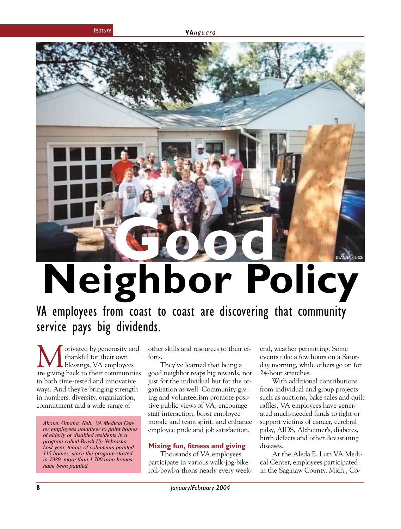<span id="page-7-0"></span>

# **Neighbor Policy**

VA employees from coast to coast are discovering that community service pays big dividends.

otivated by generosity and thankful for their own blessings, VA employees are giving back to their communities in both time-tested and innovative ways. And they're bringing strength in numbers, diversity, organization, commitment and a wide range of

*Above: Omaha, Neb., VA Medical Center employees volunteer to paint homes of elderly or disabled residents in a program called Brush Up Nebraska. Last year, teams of volunteers painted 115 homes; since the program started in 1989, more than 1,700 area homes have been painted.*

other skills and resources to their efforts.

They've learned that being a good neighbor reaps big rewards, not just for the individual but for the organization as well. Community giving and volunteerism promote positive public views of VA, encourage staff interaction, boost employee morale and team spirit, and enhance employee pride and job satisfaction.

#### **Mixing fun, fitness and giving**

Thousands of VA employees participate in various walk-jog-bikeroll-bowl-a-thons nearly every weekend, weather permitting. Some events take a few hours on a Saturday morning, while others go on for 24-hour stretches.

With additional contributions from individual and group projects such as auctions, bake sales and quilt raffles, VA employees have generated much-needed funds to fight or support victims of cancer, cerebral palsy, AIDS, Alzheimer's, diabetes, birth defects and other devastating diseases.

At the Aleda E. Lutz VA Medical Center, employees participated in the Saginaw County, Mich., Co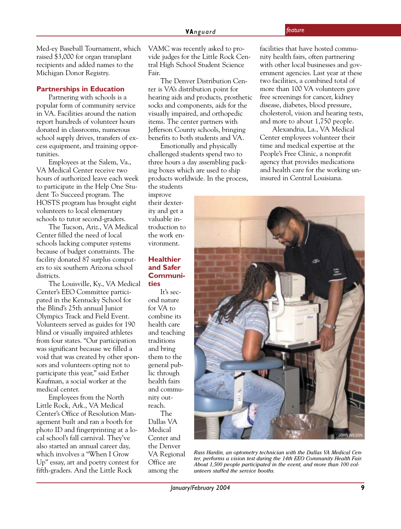Med-ey Baseball Tournament, which raised \$3,000 for organ transplant recipients and added names to the Michigan Donor Registry.

#### **Partnerships in Education**

Partnering with schools is a popular form of community service in VA. Facilities around the nation report hundreds of volunteer hours donated in classrooms, numerous school supply drives, transfers of excess equipment, and training opportunities.

Employees at the Salem, Va., VA Medical Center receive two hours of authorized leave each week to participate in the Help One Student To Succeed program. The HOSTS program has brought eight volunteers to local elementary schools to tutor second-graders.

The Tucson, Ariz., VA Medical Center filled the need of local schools lacking computer systems because of budget constraints. The facility donated 87 surplus computers to six southern Arizona school districts.

The Louisville, Ky., VA Medical Center's EEO Committee participated in the Kentucky School for the Blind's 25th annual Junior Olympics Track and Field Event. Volunteers served as guides for 190 blind or visually impaired athletes from four states. "Our participation was significant because we filled a void that was created by other sponsors and volunteers opting not to participate this year," said Esther Kaufman, a social worker at the medical center.

Employees from the North Little Rock, Ark., VA Medical Center's Office of Resolution Management built and ran a booth for photo ID and fingerprinting at a local school's fall carnival. They've also started an annual career day, which involves a "When I Grow Up" essay, art and poetry contest for fifth-graders. And the Little Rock

VAMC was recently asked to provide judges for the Little Rock Central High School Student Science Fair.

The Denver Distribution Center is VA's distribution point for hearing aids and products, prosthetic socks and components, aids for the visually impaired, and orthopedic items. The center partners with Jefferson County schools, bringing benefits to both students and VA.

Emotionally and physically challenged students spend two to three hours a day assembling packing boxes which are used to ship products worldwide. In the process,

the students improve their dexterity and get a valuable introduction to the work environment.

#### **Healthier and Safer Communities**

It's second nature for VA to combine its health care and teaching traditions and bring them to the general public through health fairs and community outreach. The Dallas VA Medical Center and the Denver VA Regional

Office are among the facilities that have hosted community health fairs, often partnering with other local businesses and government agencies. Last year at these two facilities, a combined total of more than 100 VA volunteers gave free screenings for cancer, kidney disease, diabetes, blood pressure, cholesterol, vision and hearing tests, and more to about 1,750 people.

Alexandria, La., VA Medical Center employees volunteer their time and medical expertise at the People's Free Clinic, a nonprofit agency that provides medications and health care for the working uninsured in Central Louisiana.



*Russ Hardin, an optometry technician with the Dallas VA Medical Center, performs a vision test during the 14th EEO Community Health Fair. About 1,500 people participated in the event, and more than 100 volunteers staffed the service booths.*

*January/February 2004* **9**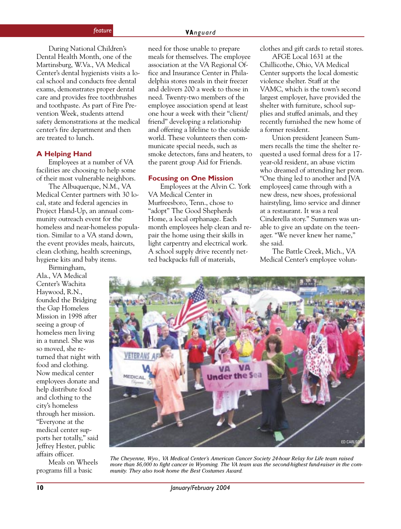During National Children's Dental Health Month, one of the Martinsburg, W.Va., VA Medical Center's dental hygienists visits a local school and conducts free dental exams, demonstrates proper dental care and provides free toothbrushes and toothpaste. As part of Fire Prevention Week, students attend safety demonstrations at the medical center's fire department and then are treated to lunch.

#### **A Helping Hand**

Employees at a number of VA facilities are choosing to help some of their most vulnerable neighbors.

The Albuquerque, N.M., VA Medical Center partners with 30 local, state and federal agencies in Project Hand-Up, an annual community outreach event for the homeless and near-homeless population. Similar to a VA stand down, the event provides meals, haircuts, clean clothing, health screenings, hygiene kits and baby items.

Birmingham, Ala., VA Medical Center's Wachita Haywood, R.N., founded the Bridging the Gap Homeless Mission in 1998 after seeing a group of homeless men living in a tunnel. She was so moved, she returned that night with food and clothing. Now medical center employees donate and help distribute food and clothing to the city's homeless through her mission. "Everyone at the medical center supports her totally," said Jeffrey Hester, public affairs officer.

Meals on Wheels programs fill a basic

need for those unable to prepare meals for themselves. The employee association at the VA Regional Office and Insurance Center in Philadelphia stores meals in their freezer and delivers 200 a week to those in need. Twenty-two members of the employee association spend at least one hour a week with their "client/ friend" developing a relationship and offering a lifeline to the outside world. These volunteers then communicate special needs, such as smoke detectors, fans and heaters, to the parent group Aid for Friends.

#### **Focusing on One Mission**

Employees at the Alvin C. York VA Medical Center in Murfreesboro, Tenn., chose to "adopt" The Good Shepherds Home, a local orphanage. Each month employees help clean and repair the home using their skills in light carpentry and electrical work. A school supply drive recently netted backpacks full of materials,

clothes and gift cards to retail stores.

AFGE Local 1631 at the Chillicothe, Ohio, VA Medical Center supports the local domestic violence shelter. Staff at the VAMC, which is the town's second largest employer, have provided the shelter with furniture, school supplies and stuffed animals, and they recently furnished the new home of a former resident.

Union president Jeaneen Summers recalls the time the shelter requested a used formal dress for a 17 year-old resident, an abuse victim who dreamed of attending her prom. "One thing led to another and [VA employees] came through with a new dress, new shoes, professional hairstyling, limo service and dinner at a restaurant. It was a real Cinderella story." Summers was unable to give an update on the teenager. "We never knew her name," she said.

The Battle Creek, Mich., VA Medical Center's employee volun-



*The Cheyenne, Wyo., VA Medical Center's American Cancer Society 24-hour Relay for Life team raised more than \$6,000 to fight cancer in Wyoming. The VA team was the second-highest fund-raiser in the community. They also took home the Best Costumes Award.*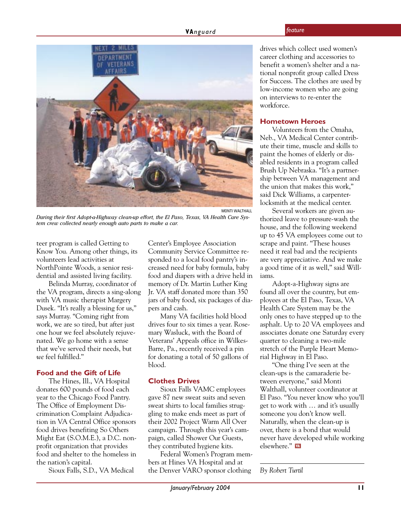

*During their first Adopt-a-Highway clean-up effort, the El Paso, Texas, VA Health Care System crew collected nearly enough auto parts to make a car.*

teer program is called Getting to Know You. Among other things, its volunteers lead activities at NorthPointe Woods, a senior residential and assisted living facility.

Belinda Murray, coordinator of the VA program, directs a sing-along with VA music therapist Margery Dusek. "It's really a blessing for us," says Murray. "Coming right from work, we are so tired, but after just one hour we feel absolutely rejuvenated. We go home with a sense that we've served their needs, but *we* feel fulfilled."

#### **Food and the Gift of Life**

The Hines, Ill., VA Hospital donates 600 pounds of food each year to the Chicago Food Pantry. The Office of Employment Discrimination Complaint Adjudication in VA Central Office sponsors food drives benefiting So Others Might Eat (S.O.M.E.), a D.C. nonprofit organization that provides food and shelter to the homeless in the nation's capital.

Sioux Falls, S.D., VA Medical

Center's Employee Association Community Service Committee responded to a local food pantry's increased need for baby formula, baby food and diapers with a drive held in memory of Dr. Martin Luther King Jr. VA staff donated more than 350 jars of baby food, six packages of diapers and cash.

Many VA facilities hold blood drives four to six times a year. Rosemary Wasluck, with the Board of Veterans' Appeals office in Wilkes-Barre, Pa., recently received a pin for donating a total of 50 gallons of blood.

#### **Clothes Drives**

Sioux Falls VAMC employees gave 87 new sweat suits and seven sweat shirts to local families struggling to make ends meet as part of their 2002 Project Warm All Over campaign. Through this year's campaign, called Shower Our Guests, they contributed hygiene kits.

Federal Women's Program members at Hines VA Hospital and at the Denver VARO sponsor clothing

drives which collect used women's career clothing and accessories to benefit a women's shelter and a national nonprofit group called Dress for Success. The clothes are used by low-income women who are going on interviews to re-enter the workforce.

#### **Hometown Heroes**

Volunteers from the Omaha, Neb., VA Medical Center contribute their time, muscle and skills to paint the homes of elderly or disabled residents in a program called Brush Up Nebraska. "It's a partnership between VA management and the union that makes this work," said Dick Williams, a carpenterlocksmith at the medical center.

Several workers are given authorized leave to pressure-wash the house, and the following weekend up to 45 VA employees come out to scrape and paint. "These houses need it real bad and the recipients are very appreciative. And we make a good time of it as well," said Williams.

Adopt-a-Highway signs are found all over the country, but employees at the El Paso, Texas, VA Health Care System may be the only ones to have stepped up to the asphalt. Up to 20 VA employees and associates donate one Saturday every quarter to cleaning a two-mile stretch of the Purple Heart Memorial Highway in El Paso.

"One thing I've seen at the clean-ups is the camaraderie between everyone," said Monti Walthall, volunteer coordinator at El Paso. "You never know who you'll get to work with … and it's usually someone you don't know well. Naturally, when the clean-up is over, there is a bond that would never have developed while working elsewhere." M

#### *By Robert Turtil*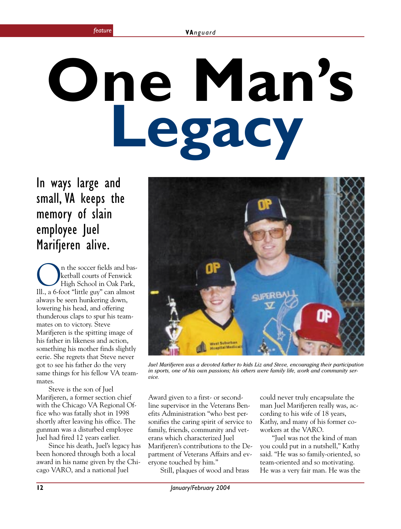# <span id="page-11-0"></span>**One Man's Legacy**

In ways large and small, VA keeps the memory of slain employee Juel Marifjeren alive.

**On** the soccer fields and bas-<br>
High School in Oak Park,<br>
Ill 26 foot "little guy" can almost ketball courts of Fenwick Ill., a 6-foot "little guy" can almost always be seen hunkering down, lowering his head, and offering thunderous claps to spur his teammates on to victory. Steve Marifjeren is the spitting image of his father in likeness and action, something his mother finds slightly eerie. She regrets that Steve never got to see his father do the very same things for his fellow VA teammates.

Steve is the son of Juel Marifjeren, a former section chief with the Chicago VA Regional Office who was fatally shot in 1998 shortly after leaving his office. The gunman was a disturbed employee Juel had fired 12 years earlier.

Since his death, Juel's legacy has been honored through both a local award in his name given by the Chicago VARO, and a national Juel



*Juel Marifjeren was a devoted father to kids Liz and Steve, encouraging their participation in sports, one of his own passions; his others were family life, work and community service.*

Award given to a first- or secondline supervisor in the Veterans Benefits Administration "who best personifies the caring spirit of service to family, friends, community and veterans which characterized Juel Marifjeren's contributions to the Department of Veterans Affairs and everyone touched by him."

Still, plaques of wood and brass

could never truly encapsulate the man Juel Marifjeren really was, according to his wife of 18 years, Kathy, and many of his former coworkers at the VARO.

"Juel was not the kind of man you could put in a nutshell," Kathy said. "He was so family-oriented, so team-oriented and so motivating. He was a very fair man. He was the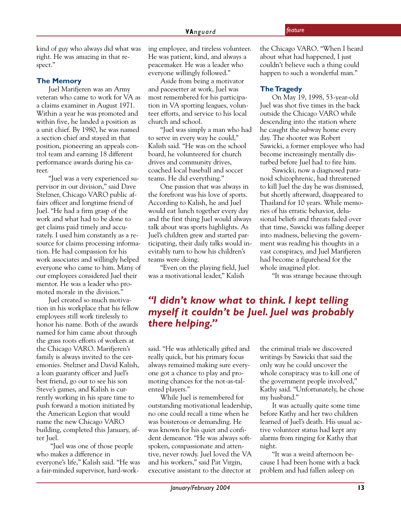kind of guy who always did what was right. He was amazing in that respect."

#### **The Memory**

Juel Marifjeren was an Army veteran who came to work for VA as a claims examiner in August 1971. Within a year he was promoted and within five, he landed a position as a unit chief. By 1980, he was named a section chief and stayed in that position, pioneering an appeals control team and earning 18 different performance awards during his career.

"Juel was a very experienced supervisor in our division," said Dave Stelzner, Chicago VARO public affairs officer and longtime friend of Juel. "He had a firm grasp of the work and what had to be done to get claims paid timely and accurately. I used him constantly as a resource for claims processing information. He had compassion for his work associates and willingly helped everyone who came to him. Many of our employees considered Juel their mentor. He was a leader who promoted morale in the division."

Juel created so much motivation in his workplace that his fellow employees still work tirelessly to honor his name. Both of the awards named for him came about through the grass roots efforts of workers at the Chicago VARO. Marifjeren's family is always invited to the ceremonies. Stelzner and David Kalish, a loan guaranty officer and Juel's best friend, go out to see his son Steve's games, and Kalish is currently working in his spare time to push forward a motion initiated by the American Legion that would name the new Chicago VARO building, completed this January, after Juel.

 "Juel was one of those people who makes a difference in everyone's life," Kalish said. "He was a fair-minded supervisor, hard-working employee, and tireless volunteer. He was patient, kind, and always a peacemaker. He was a leader who everyone willingly followed."

Aside from being a motivator and pacesetter at work, Juel was most remembered for his participation in VA sporting leagues, volunteer efforts, and service to his local church and school.

"Juel was simply a man who had to serve in every way he could," Kalish said. "He was on the school board, he volunteered for church drives and community drives, coached local baseball and soccer teams. He did everything."

One passion that was always in the forefront was his love of sports. According to Kalish, he and Juel would eat lunch together every day and the first thing Juel would always talk about was sports highlights. As Juel's children grew and started participating, their daily talks would inevitably turn to how his children's teams were doing.

"Even on the playing field, Juel was a motivational leader," Kalish

the Chicago VARO. "When I heard about what had happened, I just couldn't believe such a thing could happen to such a wonderful man."

#### **The Tragedy**

On May 19, 1998, 53-year-old Juel was shot five times in the back outside the Chicago VARO while descending into the station where he caught the subway home every day. The shooter was Robert Sawicki, a former employee who had become increasingly mentally disturbed before Juel had to fire him.

Sawicki, now a diagnosed paranoid schizophrenic, had threatened to kill Juel the day he was dismissed, but shortly afterward, disappeared to Thailand for 10 years. While memories of his erratic behavior, delusional beliefs and threats faded over that time, Sawicki was falling deeper into madness, believing the government was reading his thoughts in a vast conspiracy, and Juel Marifjeren had become a figurehead for the whole imagined plot.

"It was strange because through

#### *"I didn't know what to think. I kept telling myself it couldn't be Juel. Juel was probably there helping."*

said. "He was athletically gifted and really quick, but his primary focus always remained making sure everyone got a chance to play and promoting chances for the not-as-talented players."

While Juel is remembered for outstanding motivational leadership, no one could recall a time when he was boisterous or demanding. He was known for his quiet and confident demeanor. "He was always softspoken, compassionate and attentive, never rowdy. Juel loved the VA and his workers," said Pat Virgin, executive assistant to the director at

the criminal trials we discovered writings by Sawicki that said the only way he could uncover the whole conspiracy was to kill one of the government people involved," Kathy said. "Unfortunately, he chose my husband."

It was actually quite some time before Kathy and her two children learned of Juel's death. His usual active volunteer status had kept any alarms from ringing for Kathy that night.

"It was a weird afternoon because I had been home with a back problem and had fallen asleep on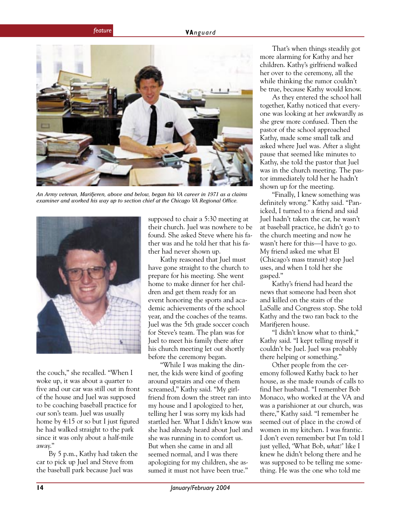

*An Army veteran, Marifjeren, above and below, began his VA career in 1971 as a claims examiner and worked his way up to section chief at the Chicago VA Regional Office.*



the couch," she recalled. "When I woke up, it was about a quarter to five and our car was still out in front of the house and Juel was supposed to be coaching baseball practice for our son's team. Juel was usually home by 4:15 or so but I just figured he had walked straight to the park since it was only about a half-mile away."

By 5 p.m., Kathy had taken the car to pick up Juel and Steve from the baseball park because Juel was

supposed to chair a 5:30 meeting at their church. Juel was nowhere to be found. She asked Steve where his father was and he told her that his father had never shown up.

Kathy reasoned that Juel must have gone straight to the church to prepare for his meeting. She went home to make dinner for her children and get them ready for an event honoring the sports and academic achievements of the school year, and the coaches of the teams. Juel was the 5th grade soccer coach for Steve's team. The plan was for Juel to meet his family there after his church meeting let out shortly before the ceremony began.

"While I was making the dinner, the kids were kind of goofing around upstairs and one of them screamed," Kathy said. "My girlfriend from down the street ran into my house and I apologized to her, telling her I was sorry my kids had startled her. What I didn't know was she had already heard about Juel and she was running in to comfort us. But when she came in and all seemed normal, and I was there apologizing for my children, she assumed it must not have been true."

That's when things steadily got more alarming for Kathy and her children. Kathy's girlfriend walked her over to the ceremony, all the while thinking the rumor couldn't be true, because Kathy would know.

As they entered the school hall together, Kathy noticed that everyone was looking at her awkwardly as she grew more confused. Then the pastor of the school approached Kathy, made some small talk and asked where Juel was. After a slight pause that seemed like minutes to Kathy, she told the pastor that Juel was in the church meeting. The pastor immediately told her he hadn't shown up for the meeting.

"Finally, I knew something was definitely wrong." Kathy said. "Panicked, I turned to a friend and said Juel hadn't taken the car, he wasn't at baseball practice, he didn't go to the church meeting and now he wasn't here for this—I have to go. My friend asked me what El (Chicago's mass transit) stop Juel uses, and when I told her she gasped."

Kathy's friend had heard the news that someone had been shot and killed on the stairs of the LaSalle and Congress stop. She told Kathy and the two ran back to the Marifieren house.

"I didn't know what to think," Kathy said. "I kept telling myself it couldn't be Juel. Juel was probably there helping or something."

Other people from the ceremony followed Kathy back to her house, as she made rounds of calls to find her husband. "I remember Bob Monaco, who worked at the VA and was a parishioner at our church, was there," Kathy said. "I remember he seemed out of place in the crowd of women in my kitchen. I was frantic. I don't even remember but I'm told I just yelled, 'What Bob, *what!*' like I knew he didn't belong there and he was supposed to be telling me something. He was the one who told me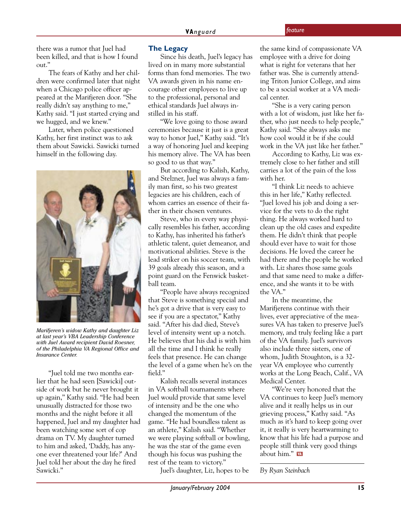there was a rumor that Juel had been killed, and that is how I found out."

The fears of Kathy and her children were confirmed later that night when a Chicago police officer appeared at the Marifjeren door. "She really didn't say anything to me," Kathy said. "I just started crying and we hugged, and we knew."

Later, when police questioned Kathy, her first instinct was to ask them about Sawicki. Sawicki turned himself in the following day.



*Marifjeren's widow Kathy and daughter Liz at last year's VBA Leadership Conference with Juel Award recipient David Roesner, of the Philadelphia VA Regional Office and Insurance Center.*

"Juel told me two months earlier that he had seen [Sawicki] outside of work but he never brought it up again," Kathy said. "He had been unusually distracted for those two months and the night before it all happened, Juel and my daughter had been watching some sort of cop drama on TV. My daughter turned to him and asked, 'Daddy, has anyone ever threatened your life?' And Juel told her about the day he fired Sawicki."

#### **The Legacy**

Since his death, Juel's legacy has lived on in many more substantial forms than fond memories. The two VA awards given in his name encourage other employees to live up to the professional, personal and ethical standards Juel always instilled in his staff.

"We love going to those award ceremonies because it just is a great way to honor Juel," Kathy said. "It's a way of honoring Juel and keeping his memory alive. The VA has been so good to us that way."

But according to Kalish, Kathy, and Stelzner, Juel was always a family man first, so his two greatest legacies are his children, each of whom carries an essence of their father in their chosen ventures.

Steve, who in every way physically resembles his father, according to Kathy, has inherited his father's athletic talent, quiet demeanor, and motivational abilities. Steve is the lead striker on his soccer team, with 39 goals already this season, and a point guard on the Fenwick basketball team.

"People have always recognized that Steve is something special and he's got a drive that is very easy to see if you are a spectator," Kathy said. "After his dad died, Steve's level of intensity went up a notch. He believes that his dad is with him all the time and I think he really feels that presence. He can change the level of a game when he's on the field."

Kalish recalls several instances in VA softball tournaments where Juel would provide that same level of intensity and be the one who changed the momentum of the game. "He had boundless talent as an athlete," Kalish said. "Whether we were playing softball or bowling, he was the star of the game even though his focus was pushing the rest of the team to victory."

Juel's daughter, Liz, hopes to be

the same kind of compassionate VA employee with a drive for doing what is right for veterans that her father was. She is currently attending Triton Junior College, and aims to be a social worker at a VA medical center.

"She is a very caring person with a lot of wisdom, just like her father, who just needs to help people," Kathy said. "She always asks me how cool would it be if she could work in the VA just like her father."

According to Kathy, Liz was extremely close to her father and still carries a lot of the pain of the loss with her.

"I think Liz needs to achieve this in her life," Kathy reflected. "Juel loved his job and doing a service for the vets to do the right thing. He always worked hard to clean up the old cases and expedite them. He didn't think that people should ever have to wait for those decisions. He loved the career he had there and the people he worked with. Liz shares those same goals and that same need to make a difference, and she wants it to be with the VA."

In the meantime, the Marifjerens continue with their lives, ever appreciative of the measures VA has taken to preserve Juel's memory, and truly feeling like a part of the VA family. Juel's survivors also include three sisters, one of whom, Judith Stoughton, is a 32 year VA employee who currently works at the Long Beach, Calif., VA Medical Center.

"We're very honored that the VA continues to keep Juel's memory alive and it really helps us in our grieving process," Kathy said. "As much as it's hard to keep going over it, it really is very heartwarming to know that his life had a purpose and people still think very good things about him." W

*By Ryan Steinbach*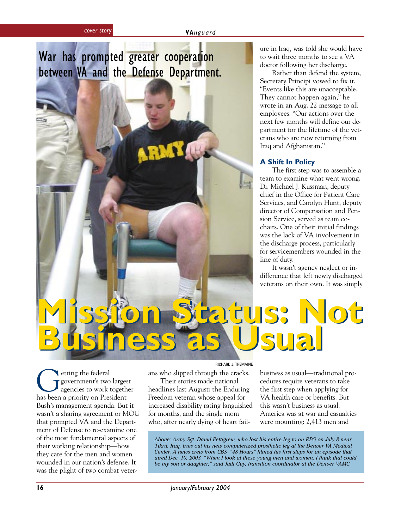### <span id="page-15-0"></span>War has prompted greater cooperation between VA and the Defense Department.

ure in Iraq, was told she would have to wait three months to see a VA doctor following her discharge.

Rather than defend the system, Secretary Principi vowed to fix it. "Events like this are unacceptable. They cannot happen again," he wrote in an Aug. 22 message to all employees. "Our actions over the next few months will define our department for the lifetime of the veterans who are now returning from Iraq and Afghanistan."

#### **A Shift In Policy**

The first step was to assemble a team to examine what went wrong. Dr. Michael J. Kussman, deputy chief in the Office for Patient Care Services, and Carolyn Hunt, deputy director of Compensation and Pension Service, served as team cochairs. One of their initial findings was the lack of VA involvement in the discharge process, particularly for servicemembers wounded in the line of duty.

It wasn't agency neglect or indifference that left newly discharged veterans on their own. It was simply

# **Mission Status: Not Mission Status: Not Business as Usual Business as Usual**

Getting the federal<br>government's two large<br>has been a priority on President government's two largest agencies to work together Bush's management agenda. But it wasn't a sharing agreement or MOU that prompted VA and the Department of Defense to re-examine one of the most fundamental aspects of their working relationship—how they care for the men and women wounded in our nation's defense. It was the plight of two combat veterRICHARD J. TREMAINE

ans who slipped through the cracks. Their stories made national

headlines last August: the Enduring Freedom veteran whose appeal for increased disability rating languished for months, and the single mom who, after nearly dying of heart failbusiness as usual—traditional procedures require veterans to take the first step when applying for VA health care or benefits. But this wasn't business as usual. America was at war and casualties were mounting: 2,413 men and

*Above: Army Sgt. David Pettigrew, who lost his entire leg to an RPG on July 8 near Tikrit, Iraq, tries out his new computerized prosthetic leg at the Denver VA Medical Center. A news crew from CBS' "48 Hours" filmed his first steps for an episode that aired Dec. 10, 2003. "When I look at these young men and women, I think that could be my son or daughter," said Judi Guy, transition coordinator at the Denver VAMC.*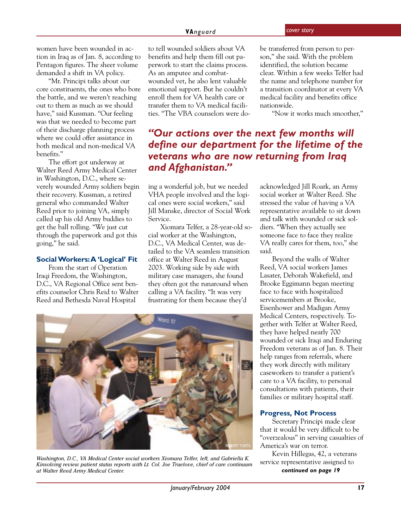women have been wounded in action in Iraq as of Jan. 8, according to Pentagon figures. The sheer volume demanded a shift in VA policy.

"Mr. Principi talks about our core constituents, the ones who bore the battle, and we weren't reaching out to them as much as we should have," said Kussman. "Our feeling was that we needed to become part of their discharge planning process where we could offer assistance in both medical and non-medical VA benefits."

The effort got underway at Walter Reed Army Medical Center in Washington, D.C., where severely wounded Army soldiers begin their recovery. Kussman, a retired general who commanded Walter Reed prior to joining VA, simply called up his old Army buddies to get the ball rolling. "We just cut through the paperwork and got this going," he said.

#### **Social Workers: A 'Logical' Fit**

From the start of Operation Iraqi Freedom, the Washington, D.C., VA Regional Office sent benefits counselor Chris Reid to Walter Reed and Bethesda Naval Hospital

to tell wounded soldiers about VA benefits and help them fill out paperwork to start the claims process. As an amputee and combatwounded vet, he also lent valuable emotional support. But he couldn't enroll them for VA health care or transfer them to VA medical facilities. "The VBA counselors were do-

#### *"Our actions over the next few months will define our department for the lifetime of the veterans who are now returning from Iraq and Afghanistan."*

ing a wonderful job, but we needed VHA people involved and the logical ones were social workers," said Jill Manske, director of Social Work Service.

Xiomara Telfer, a 28-year-old social worker at the Washington, D.C., VA Medical Center, was detailed to the VA seamless transition office at Walter Reed in August 2003. Working side by side with military case managers, she found they often got the runaround when calling a VA facility. "It was very frustrating for them because they'd



*Washington, D.C., VA Medical Center social workers Xiomara Telfer, left, and Gabriella K. Kinsolving review patient status reports with Lt. Col. Joe Truelove, chief of care continuum at Walter Reed Army Medical Center.*

be transferred from person to person," she said. With the problem identified, the solution became clear. Within a few weeks Telfer had the name and telephone number for a transition coordinator at every VA medical facility and benefits office nationwide.

"Now it works much smoother,"

acknowledged Jill Roark, an Army social worker at Walter Reed. She stressed the value of having a VA representative available to sit down and talk with wounded or sick soldiers. "When they actually see someone face to face they realize VA really cares for them, too," she said.

Beyond the walls of Walter Reed, VA social workers James Lasater, Deborah Wakefield, and Brooke Eggimann began meeting face to face with hospitalized servicemembers at Brooke, Eisenhower and Madigan Army Medical Centers, respectively. Together with Telfer at Walter Reed, they have helped nearly 700 wounded or sick Iraqi and Enduring Freedom veterans as of Jan. 8. Their help ranges from referrals, where they work directly with military caseworkers to transfer a patient's care to a VA facility, to personal consultations with patients, their families or military hospital staff.

#### **Progress, Not Process**

Secretary Principi made clear that it would be very difficult to be "overzealous" in serving casualties of America's war on terror.

Kevin Hillegas, 42, a veterans service representative assigned to *continued on page 19*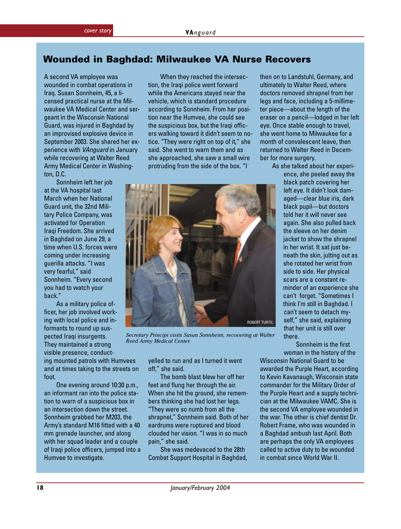#### **Wounded in Baghdad: Milwaukee VA Nurse Recovers**

A second VA employee was wounded in combat operations in Iraq. Susan Sonnheim, 45, a licensed practical nurse at the Milwaukee VA Medical Center and sergeant in the Wisconsin National Guard, was injured in Baghdad by an improvised explosive device in September 2003. She shared her experience with VAnguard in January while recovering at Walter Reed Army Medical Center in Washington, D.C.

Sonnheim left her job at the VA hospital last March when her National Guard unit, the 32nd Military Police Company, was activated for Operation Iraqi Freedom. She arrived in Baghdad on June 29, a time when U.S. forces were coming under increasing guerilla attacks. "I was very fearful," said Sonnheim. "Every second you had to watch your back."

As a military police officer, her job involved working with local police and informants to round up suspected Iraqi insurgents. They maintained a strong visible presence, conducting mounted patrols with Humvees and at times taking to the streets on foot.

One evening around 10:30 p.m., an informant ran into the police station to warn of a suspicious box in an intersection down the street. Sonnheim grabbed her M203, the Army's standard M16 fitted with a 40 mm grenade launcher, and along with her squad leader and a couple of Iraqi police officers, jumped into a Humvee to investigate.

When they reached the intersection, the Iraqi police went forward while the Americans stayed near the vehicle, which is standard procedure according to Sonnheim. From her position near the Humvee, she could see the suspicious box, but the Iraqi officers walking toward it didn't seem to notice. "They were right on top of it," she said. She went to warn them and as she approached, she saw a small wire protruding from the side of the box. "I



*Secretary Principi visits Susan Sonnheim, recovering at Walter Reed Army Medical Center.*

yelled to run and as I turned it went off," she said.

The bomb blast blew her off her feet and flung her through the air. When she hit the ground, she remembers thinking she had lost her legs. "They were so numb from all the shrapnel," Sonnheim said. Both of her eardrums were ruptured and blood clouded her vision. "I was in so much pain," she said.

She was medevaced to the 28th Combat Support Hospital in Baghdad, then on to Landstuhl, Germany, and ultimately to Walter Reed, where doctors removed shrapnel from her legs and face, including a 5-millimeter piece—about the length of the eraser on a pencil—lodged in her left eye. Once stable enough to travel, she went home to Milwaukee for a month of convalescent leave, then returned to Walter Reed in December for more surgery.

As she talked about her experi-

ence, she peeled away the black patch covering her left eye. It didn't look damaged—clear blue iris, dark black pupil—but doctors told her it will never see again. She also pulled back the sleeve on her denim jacket to show the shrapnel in her wrist. It sat just beneath the skin, jutting out as she rotated her wrist from side to side. Her physical scars are a constant reminder of an experience she can't forget. "Sometimes I think I'm still in Baghdad. I can't seem to detach myself," she said, explaining that her unit is still over there.

Sonnheim is the first

woman in the history of the Wisconsin National Guard to be awarded the Purple Heart, according to Kevin Kavanaugh, Wisconsin state commander for the Military Order of the Purple Heart and a supply technician at the Milwaukee VAMC. She is the second VA employee wounded in the war. The other is chief dentist Dr. Robert Frame, who was wounded in a Baghdad ambush last April. Both are perhaps the only VA employees called to active duty to be wounded in combat since World War II.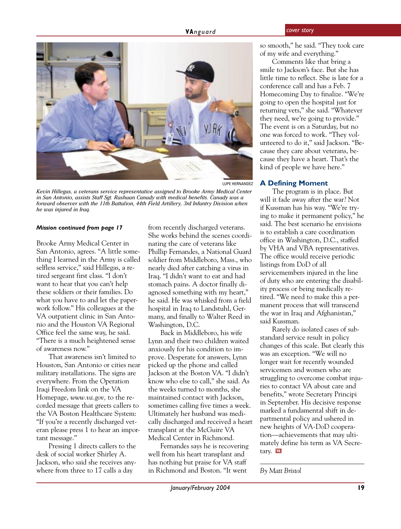

LUPE HERNANDEZ

*Kevin Hillegas, a veterans service representative assigned to Brooke Army Medical Center in San Antonio, assists Staff Sgt. Rashaan Canady with medical benefits. Canady was a forward observer with the 11th Battalion, 44th Field Artillery, 3rd Infantry Division when he was injured in Iraq.*

#### *Mission continued from page 17*

Brooke Army Medical Center in San Antonio, agrees. "A little something I learned in the Army is called selfless service," said Hillegas, a retired sergeant first class. "I don't want to hear that you can't help these soldiers or their families. Do what you have to and let the paperwork follow." His colleagues at the VA outpatient clinic in San Antonio and the Houston VA Regional Office feel the same way, he said. "There is a much heightened sense of awareness now."

That awareness isn't limited to Houston, San Antonio or cities near military installations. The signs are everywhere. From the Operation Iraqi Freedom link on the VA Homepage, *www.va.gov,* to the recorded message that greets callers to the VA Boston Healthcare System: "If you're a recently discharged veteran please press 1 to hear an important message."

Pressing 1 directs callers to the desk of social worker Shirley A. Jackson, who said she receives anywhere from three to 17 calls a day

from recently discharged veterans. She works behind the scenes coordinating the care of veterans like Phillip Fernandes, a National Guard soldier from Middleboro, Mass., who nearly died after catching a virus in Iraq. "I didn't want to eat and had stomach pains. A doctor finally diagnosed something with my heart," he said. He was whisked from a field hospital in Iraq to Landstuhl, Germany, and finally to Walter Reed in Washington, D.C.

Back in Middleboro, his wife Lynn and their two children waited anxiously for his condition to improve. Desperate for answers, Lynn picked up the phone and called Jackson at the Boston VA. "I didn't know who else to call," she said. As the weeks turned to months, she maintained contact with Jackson, sometimes calling five times a week. Ultimately her husband was medically discharged and received a heart transplant at the McGuire VA Medical Center in Richmond.

Fernandes says he is recovering well from his heart transplant and has nothing but praise for VA staff in Richmond and Boston. "It went

so smooth," he said. "They took care of my wife and everything."

Comments like that bring a smile to Jackson's face. But she has little time to reflect. She is late for a conference call and has a Feb. 7 Homecoming Day to finalize. "We're going to open the hospital just for returning vets," she said. "Whatever they need, we're going to provide." The event is on a Saturday, but no one was forced to work. "They volunteered to do it," said Jackson. "Because they care about veterans, because they have a heart. That's the kind of people we have here."

#### **A Defining Moment**

The program is in place. But will it fade away after the war? Not if Kussman has his way. "We're trying to make it permanent policy," he said. The best scenario he envisions is to establish a care coordination office in Washington, D.C., staffed by VHA and VBA representatives. The office would receive periodic listings from DoD of all servicemembers injured in the line of duty who are entering the disability process or being medically retired. "We need to make this a permanent process that will transcend the war in Iraq and Afghanistan," said Kussman.

Rarely do isolated cases of substandard service result in policy changes of this scale. But clearly this was an exception. "We will no longer wait for recently wounded servicemen and women who are struggling to overcome combat injuries to contact VA about care and benefits," wrote Secretary Principi in September. His decisive response marked a fundamental shift in departmental policy and ushered in new heights of VA-DoD cooperation—achievements that may ultimately define his term as VA Secretary. **WA** 

*By Matt Bristol*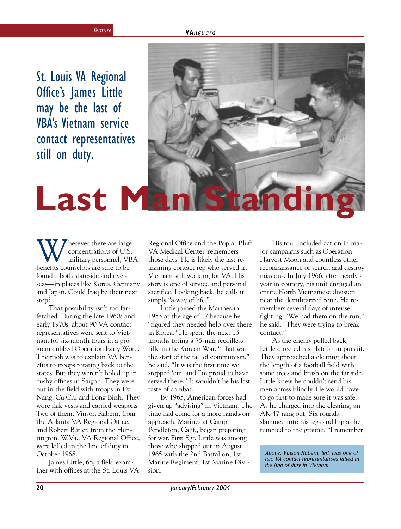St. Louis VA Regional Office's James Little may be the last of VBA's Vietnam service contact representatives still on duty.

<span id="page-19-0"></span>

Wherever there are large<br>concentrations of U.S.<br>benefits counselors are sure to be concentrations of U.S. military personnel, VBA found—both stateside and overseas—in places like Korea, Germany and Japan. Could Iraq be their next stop?

That possibility isn't too farfetched. During the late 1960s and early 1970s, about 90 VA contact representatives were sent to Vietnam for six-month tours in a program dubbed Operation Early Word. Their job was to explain VA benefits to troops rotating back to the states. But they weren't holed up in cushy offices in Saigon. They were out in the field with troops in Da Nang, Cu Chi and Long Binh. They wore flak vests and carried weapons. Two of them, Vinson Rabern, from the Atlanta VA Regional Office, and Robert Butler, from the Huntington, W.Va., VA Regional Office, were killed in the line of duty in October 1968.

James Little, 68, a field examiner with offices at the St. Louis VA Regional Office and the Poplar Bluff VA Medical Center, remembers those days. He is likely the last remaining contact rep who served in Vietnam still working for VA. His story is one of service and personal sacrifice. Looking back, he calls it simply "a way of life."

Little joined the Marines in 1953 at the age of 17 because he "figured they needed help over there in Korea." He spent the next 13 months toting a 75-mm recoilless rifle in the Korean War. "That was the start of the fall of communism," he said. "It was the first time we stopped 'em, and I'm proud to have served there." It wouldn't be his last taste of combat.

By 1965, American forces had given up "advising" in Vietnam. The time had come for a more hands-on approach. Marines at Camp Pendleton, Calif., began preparing for war. First Sgt. Little was among those who shipped out in August 1965 with the 2nd Battalion, 1st Marine Regiment, 1st Marine Division.

His tour included action in major campaigns such as Operation Harvest Moon and countless other reconnaissance or search and destroy missions. In July 1966, after nearly a year in country, his unit engaged an entire North Vietnamese division near the demilitarized zone. He remembers several days of intense fighting. "We had them on the run," he said. "They were trying to break contact."

As the enemy pulled back, Little directed his platoon in pursuit. They approached a clearing about the length of a football field with some trees and brush on the far side. Little knew he couldn't send his men across blindly. He would have to go first to make sure it was safe. As he charged into the clearing, an AK-47 rang out. Six rounds slammed into his legs and hip as he tumbled to the ground. "I remember

*Above: Vinson Rabern, left, was one of two VA contact representatives killed in the line of duty in Vietnam.*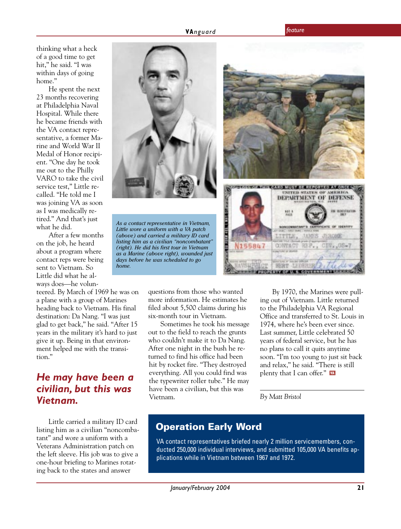thinking what a heck of a good time to get hit," he said. "I was within days of going home."

He spent the next 23 months recovering at Philadelphia Naval Hospital. While there he became friends with the VA contact representative, a former Marine and World War II Medal of Honor recipient. "One day he took me out to the Philly VARO to take the civil service test," Little recalled. "He told me I was joining VA as soon as I was medically retired." And that's just what he did.

After a few months on the job, he heard about a program where contact reps were being sent to Vietnam. So Little did what he always does—he volun-

teered. By March of 1969 he was on a plane with a group of Marines heading back to Vietnam. His final destination: Da Nang. "I was just glad to get back," he said. "After 15 years in the military it's hard to just give it up. Being in that environment helped me with the transition."

#### *He may have been a civilian, but this was Vietnam.*

Little carried a military ID card listing him as a civilian "noncombatant" and wore a uniform with a Veterans Administration patch on the left sleeve. His job was to give a one-hour briefing to Marines rotating back to the states and answer



questions from those who wanted more information. He estimates he filed about 5,500 claims during his six-month tour in Vietnam.

Sometimes he took his message out to the field to reach the grunts who couldn't make it to Da Nang. After one night in the bush he returned to find his office had been hit by rocket fire. "They destroyed everything. All you could find was the typewriter roller tube." He may have been a civilian, but this was Vietnam.

By 1970, the Marines were pulling out of Vietnam. Little returned to the Philadelphia VA Regional Office and transferred to St. Louis in 1974, where he's been ever since. Last summer, Little celebrated 50 years of federal service, but he has no plans to call it quits anytime soon. "I'm too young to just sit back and relax," he said. "There is still plenty that I can offer." M

*By Matt Bristol*

#### **Operation Early Word**

VA contact representatives briefed nearly 2 million servicemembers, conducted 250,000 individual interviews, and submitted 105,000 VA benefits applications while in Vietnam between 1967 and 1972.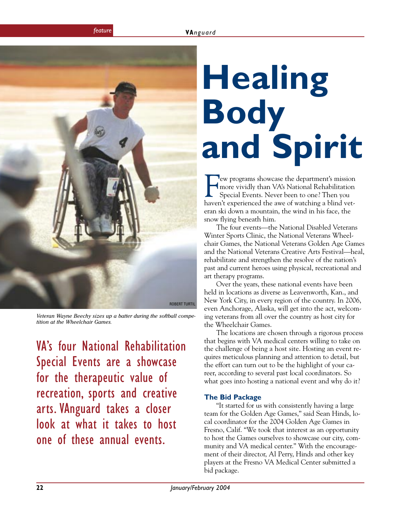<span id="page-21-0"></span>

*Veteran Wayne Beechy sizes up a batter during the softball competition at the Wheelchair Games.*

VA's four National Rehabilitation Special Events are a showcase for the therapeutic value of recreation, sports and creative arts. VAnguard takes a closer look at what it takes to host one of these annual events.

# **Healing Body and Spirit**

Few programs showcase the department's mission<br>
more vividly than VA's National Rehabilitation<br>
Special Events. Never been to one? Then you<br>
haven't experienced the awe of watching a blind vetew programs showcase the department's mission more vividly than VA's National Rehabilitation Special Events. Never been to one? Then you eran ski down a mountain, the wind in his face, the snow flying beneath him.

The four events—the National Disabled Veterans Winter Sports Clinic, the National Veterans Wheelchair Games, the National Veterans Golden Age Games and the National Veterans Creative Arts Festival—heal, rehabilitate and strengthen the resolve of the nation's past and current heroes using physical, recreational and art therapy programs.

Over the years, these national events have been held in locations as diverse as Leavenworth, Kan., and New York City, in every region of the country. In 2006, even Anchorage, Alaska, will get into the act, welcoming veterans from all over the country as host city for the Wheelchair Games.

The locations are chosen through a rigorous process that begins with VA medical centers willing to take on the challenge of being a host site. Hosting an event requires meticulous planning and attention to detail, but the effort can turn out to be the highlight of your career, according to several past local coordinators. So what goes into hosting a national event and why do it?

#### **The Bid Package**

"It started for us with consistently having a large team for the Golden Age Games," said Sean Hinds, local coordinator for the 2004 Golden Age Games in Fresno, Calif. "We took that interest as an opportunity to host the Games ourselves to showcase our city, community and VA medical center." With the encouragement of their director, Al Perry, Hinds and other key players at the Fresno VA Medical Center submitted a bid package.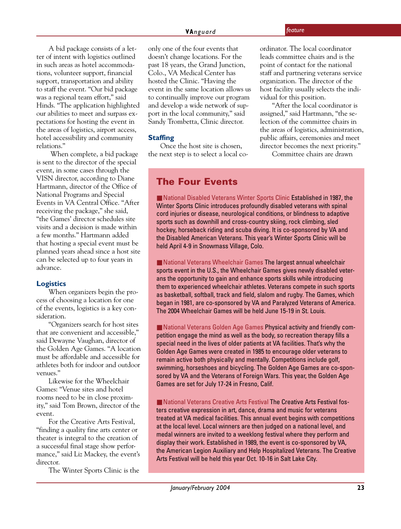vidual for this position.

ordinator. The local coordinator leads committee chairs and is the point of contact for the national staff and partnering veterans service organization. The director of the host facility usually selects the indi-

"After the local coordinator is assigned," said Hartmann, "the selection of the committee chairs in the areas of logistics, administration, public affairs, ceremonies and meet director becomes the next priority." Committee chairs are drawn

A bid package consists of a letter of intent with logistics outlined in such areas as hotel accommodations, volunteer support, financial support, transportation and ability to staff the event. "Our bid package was a regional team effort," said Hinds. "The application highlighted our abilities to meet and surpass expectations for hosting the event in the areas of logistics, airport access, hotel accessibility and community relations."

 When complete, a bid package is sent to the director of the special event, in some cases through the VISN director, according to Diane Hartmann, director of the Office of National Programs and Special Events in VA Central Office. "After receiving the package," she said, "the Games' director schedules site visits and a decision is made within a few months." Hartmann added that hosting a special event must be planned years ahead since a host site can be selected up to four years in advance.

#### **Logistics**

When organizers begin the process of choosing a location for one of the events, logistics is a key consideration.

"Organizers search for host sites that are convenient and accessible," said Dewayne Vaughan, director of the Golden Age Games. "A location must be affordable and accessible for athletes both for indoor and outdoor venues."

Likewise for the Wheelchair Games: "Venue sites and hotel rooms need to be in close proximity," said Tom Brown, director of the event.

For the Creative Arts Festival, "finding a quality fine arts center or theater is integral to the creation of a successful final stage show performance," said Liz Mackey, the event's director.

The Winter Sports Clinic is the

only one of the four events that doesn't change locations. For the past 18 years, the Grand Junction, Colo., VA Medical Center has hosted the Clinic. "Having the event in the same location allows us to continually improve our program and develop a wide network of support in the local community," said Sandy Trombetta, Clinic director.

#### **Staffing**

Once the host site is chosen, the next step is to select a local co-

**The Four Events**

■ National Disabled Veterans Winter Sports Clinic Established in 1987, the Winter Sports Clinic introduces profoundly disabled veterans with spinal cord injuries or disease, neurological conditions, or blindness to adaptive sports such as downhill and cross-country skiing, rock climbing, sled hockey, horseback riding and scuba diving. It is co-sponsored by VA and the Disabled American Veterans. This year's Winter Sports Clinic will be held April 4-9 in Snowmass Village, Colo.

■ National Veterans Wheelchair Games The largest annual wheelchair sports event in the U.S., the Wheelchair Games gives newly disabled veterans the opportunity to gain and enhance sports skills while introducing them to experienced wheelchair athletes. Veterans compete in such sports as basketball, softball, track and field, slalom and rugby. The Games, which began in 1981, are co-sponsored by VA and Paralyzed Veterans of America. The 2004 Wheelchair Games will be held June 15-19 in St. Louis.

■ National Veterans Golden Age Games Physical activity and friendly competition engage the mind as well as the body, so recreation therapy fills a special need in the lives of older patients at VA facilities. That's why the Golden Age Games were created in 1985 to encourage older veterans to remain active both physically and mentally. Competitions include golf, swimming, horseshoes and bicycling. The Golden Age Games are co-sponsored by VA and the Veterans of Foreign Wars. This year, the Golden Age Games are set for July 17-24 in Fresno, Calif.

■ National Veterans Creative Arts Festival The Creative Arts Festival fosters creative expression in art, dance, drama and music for veterans treated at VA medical facilities. This annual event begins with competitions at the local level. Local winners are then judged on a national level, and medal winners are invited to a weeklong festival where they perform and display their work. Established in 1989, the event is co-sponsored by VA, the American Legion Auxiliary and Help Hospitalized Veterans. The Creative Arts Festival will be held this year Oct. 10-16 in Salt Lake City.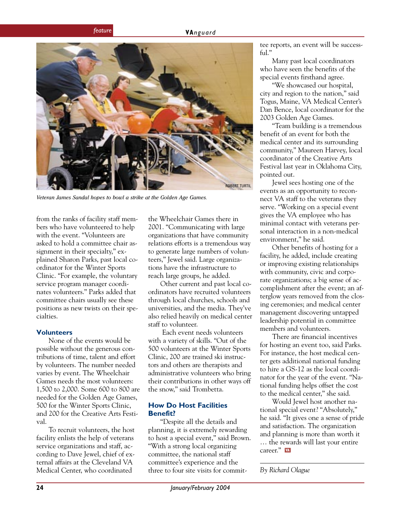

*Veteran James Sandal hopes to bowl a strike at the Golden Age Games.*

from the ranks of facility staff members who have volunteered to help with the event. "Volunteers are asked to hold a committee chair assignment in their specialty," explained Sharon Parks, past local coordinator for the Winter Sports Clinic. "For example, the voluntary service program manager coordinates volunteers." Parks added that committee chairs usually see these positions as new twists on their specialties.

#### **Volunteers**

None of the events would be possible without the generous contributions of time, talent and effort by volunteers. The number needed varies by event. The Wheelchair Games needs the most volunteers: 1,500 to 2,000. Some 600 to 800 are needed for the Golden Age Games, 500 for the Winter Sports Clinic, and 200 for the Creative Arts Festival.

To recruit volunteers, the host facility enlists the help of veterans service organizations and staff, according to Dave Jewel, chief of external affairs at the Cleveland VA Medical Center, who coordinated

the Wheelchair Games there in 2001. "Communicating with large organizations that have community relations efforts is a tremendous way to generate large numbers of volunteers," Jewel said. Large organizations have the infrastructure to reach large groups, he added.

Other current and past local coordinators have recruited volunteers through local churches, schools and universities, and the media. They've also relied heavily on medical center staff to volunteer.

 Each event needs volunteers with a variety of skills. "Out of the 500 volunteers at the Winter Sports Clinic, 200 are trained ski instructors and others are therapists and administrative volunteers who bring their contributions in other ways off the snow," said Trombetta.

#### **How Do Host Facilities Benefit?**

"Despite all the details and planning, it is extremely rewarding to host a special event," said Brown. "With a strong local organizing committee, the national staff committee's experience and the three to four site visits for committee reports, an event will be successful."

Many past local coordinators who have seen the benefits of the special events firsthand agree.

"We showcased our hospital, city and region to the nation," said Togus, Maine, VA Medical Center's Dan Bence, local coordinator for the 2003 Golden Age Games.

"Team building is a tremendous benefit of an event for both the medical center and its surrounding community," Maureen Harvey, local coordinator of the Creative Arts Festival last year in Oklahoma City, pointed out.

Jewel sees hosting one of the events as an opportunity to reconnect VA staff to the veterans they serve. "Working on a special event gives the VA employee who has minimal contact with veterans personal interaction in a non-medical environment," he said.

Other benefits of hosting for a facility, he added, include creating or improving existing relationships with community, civic and corporate organizations; a big sense of accomplishment after the event; an afterglow years removed from the closing ceremonies; and medical center management discovering untapped leadership potential in committee members and volunteers.

There are financial incentives for hosting an event too, said Parks. For instance, the host medical center gets additional national funding to hire a GS-12 as the local coordinator for the year of the event. "National funding helps offset the cost to the medical center," she said.

Would Jewel host another national special event? "Absolutely," he said. "It gives one a sense of pride and satisfaction. The organization and planning is more than worth it … the rewards will last your entire career." M

#### *By Richard Olague*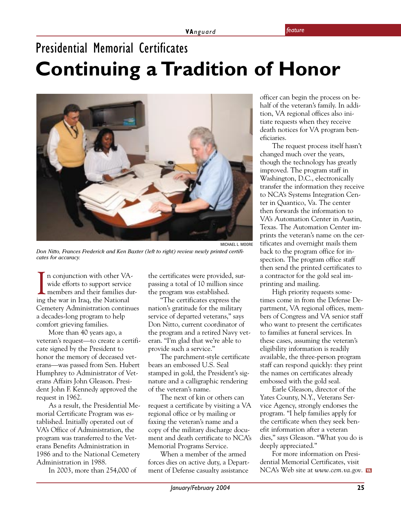# <span id="page-24-0"></span>Presidential Memorial Certificates **Continuing a Tradition of Honor**



*Don Nitto, Frances Frederick and Ken Baxter (left to right) review newly printed certificates for accuracy.*

In conjunction with other VA wide efforts to support service members and their families d<br>ing the war in Iraq, the National n conjunction with other VAwide efforts to support service members and their families dur-Cemetery Administration continues a decades-long program to help comfort grieving families.

More than 40 years ago, a veteran's request—to create a certificate signed by the President to honor the memory of deceased veterans—was passed from Sen. Hubert Humphrey to Administrator of Veterans Affairs John Gleason. President John F. Kennedy approved the request in 1962.

As a result, the Presidential Memorial Certificate Program was established. Initially operated out of VA's Office of Administration, the program was transferred to the Veterans Benefits Administration in 1986 and to the National Cemetery Administration in 1988.

In 2003, more than 254,000 of

the certificates were provided, surpassing a total of 10 million since the program was established.

"The certificates express the nation's gratitude for the military service of departed veterans," says Don Nitto, current coordinator of the program and a retired Navy veteran. "I'm glad that we're able to provide such a service."

The parchment-style certificate bears an embossed U.S. Seal stamped in gold, the President's signature and a calligraphic rendering of the veteran's name.

The next of kin or others can request a certificate by visiting a VA regional office or by mailing or faxing the veteran's name and a copy of the military discharge document and death certificate to NCA's Memorial Programs Service.

When a member of the armed forces dies on active duty, a Department of Defense casualty assistance

officer can begin the process on behalf of the veteran's family. In addition, VA regional offices also initiate requests when they receive death notices for VA program beneficiaries.

The request process itself hasn't changed much over the years, though the technology has greatly improved. The program staff in Washington, D.C., electronically transfer the information they receive to NCA's Systems Integration Center in Quantico, Va. The center then forwards the information to VA's Automation Center in Austin, Texas. The Automation Center imprints the veteran's name on the certificates and overnight mails them back to the program office for inspection. The program office staff then send the printed certificates to a contractor for the gold seal imprinting and mailing.

High priority requests sometimes come in from the Defense Department, VA regional offices, members of Congress and VA senior staff who want to present the certificates to families at funeral services. In these cases, assuming the veteran's eligibility information is readily available, the three-person program staff can respond quickly: they print the names on certificates already embossed with the gold seal.

Earle Gleason, director of the Yates County, N.Y., Veterans Service Agency, strongly endorses the program. "I help families apply for the certificate when they seek benefit information after a veteran dies," says Gleason. "What you do is deeply appreciated."

For more information on Presidential Memorial Certificates, visit NCA's Web site at *www.cem.va.gov.*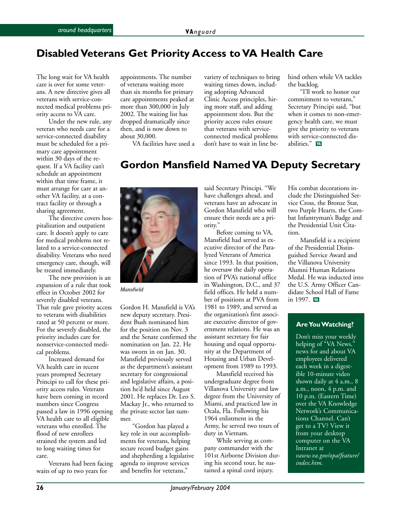#### <span id="page-25-0"></span>**Disabled Veterans Get Priority Access to VA Health Care**

The long wait for VA health care is over for some veterans. A new directive gives all veterans with service-connected medical problems priority access to VA care.

Under the new rule, any veteran who needs care for a service-connected disability must be scheduled for a primary care appointment within 30 days of the request. If a VA facility can't schedule an appointment within that time frame, it must arrange for care at another VA facility, at a contract facility or through a sharing agreement.

The directive covers hospitalization and outpatient care. It doesn't apply to care for medical problems not related to a service-connected disability. Veterans who need emergency care, though, will be treated immediately.

The new provision is an expansion of a rule that took effect in October 2002 for severely disabled veterans. That rule gave priority access to veterans with disabilities rated at 50 percent or more. For the severely disabled, the priority includes care for nonservice-connected medical problems.

Increased demand for VA health care in recent years prompted Secretary Principi to call for these priority access rules. Veterans have been coming in record numbers since Congress passed a law in 1996 opening VA health care to all eligible veterans who enrolled. The flood of new enrollees strained the system and led to long waiting times for care.

Veterans had been facing waits of up to two years for

appointments. The number of veterans waiting more than six months for primary care appointments peaked at more than 300,000 in July 2002. The waiting list has dropped dramatically since then, and is now down to about 30,000.

VA facilities have used a

variety of techniques to bring waiting times down, including adopting Advanced Clinic Access principles, hiring more staff, and adding appointment slots. But the priority access rules ensure that veterans with serviceconnected medical problems don't have to wait in line behind others while VA tackles the backlog.

"I'll work to honor our commitment to veterans," Secretary Principi said, "but when it comes to non-emergency health care, we must give the priority to veterans with service-connected disabilities." W

#### **Gordon Mansfield Named VA Deputy Secretary**



*Mansfield*

Gordon H. Mansfield is VA's new deputy secretary. President Bush nominated him for the position on Nov. 3 and the Senate confirmed the nomination on Jan. 22. He was sworn in on Jan. 30. Mansfield previously served as the department's assistant secretary for congressional and legislative affairs, a position he'd held since August 2001. He replaces Dr. Leo S. Mackay Jr., who returned to the private sector last summer.

"Gordon has played a key role in our accomplishments for veterans, helping secure record budget gains and shepherding a legislative agenda to improve services and benefits for veterans,"

said Secretary Principi. "We have challenges ahead, and veterans have an advocate in Gordon Mansfield who will ensure their needs are a priority."

Before coming to VA, Mansfield had served as executive director of the Paralyzed Veterans of America since 1993. In that position, he oversaw the daily operation of PVA's national office in Washington, D.C., and 37 field offices. He held a number of positions at PVA from 1981 to 1989, and served as the organization's first associate executive director of government relations. He was an assistant secretary for fair housing and equal opportunity at the Department of Housing and Urban Development from 1989 to 1993.

Mansfield received his undergraduate degree from Villanova University and law degree from the University of Miami, and practiced law in Ocala, Fla. Following his 1964 enlistment in the Army, he served two tours of duty in Vietnam.

While serving as company commander with the 101st Airborne Division during his second tour, he sustained a spinal cord injury.

His combat decorations include the Distinguished Service Cross, the Bronze Star, two Purple Hearts, the Combat Infantryman's Badge and the Presidential Unit Citation.

Mansfield is a recipient of the Presidential Distinguished Service Award and the Villanova University Alumni Human Relations Medal. He was inducted into the U.S. Army Officer Candidate School Hall of Fame in 1997. WA

#### **Are You Watching?**

Don't miss your weekly helping of "VA News," news for and about VA employees delivered each week in a digestible 10-minute video shown daily at 4 a.m., 8 a.m., noon, 4 p.m. and 10 p.m. (Eastern Time) over the VA Knowledge Network's Communications Channel. Can't get to a TV? View it from your desktop computer on the VA Intranet at *vaww.va.gov/opa/feature/ index.htm.*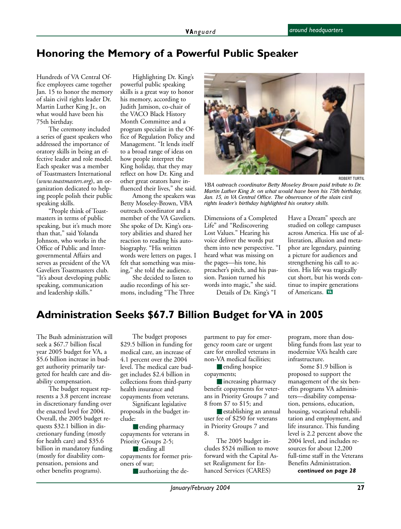#### **Honoring the Memory of a Powerful Public Speaker**

Hundreds of VA Central Office employees came together Jan. 15 to honor the memory of slain civil rights leader Dr. Martin Luther King Jr., on what would have been his 75th birthday.

The ceremony included a series of guest speakers who addressed the importance of oratory skills in being an effective leader and role model. Each speaker was a member of Toastmasters International (*www.toastmasters.org*), an organization dedicated to helping people polish their public speaking skills.

"People think of Toastmasters in terms of public speaking, but it's much more than that," said Yolanda Johnson, who works in the Office of Public and Intergovernmental Affairs and serves as president of the VA Gaveliers Toastmasters club. "It's about developing public speaking, communication and leadership skills."

Highlighting Dr. King's powerful public speaking skills is a great way to honor his memory, according to Judith Jamison, co-chair of the VACO Black History Month Committee and a program specialist in the Office of Regulation Policy and Management. "It lends itself to a broad range of ideas on how people interpret the King holiday, that they may reflect on how Dr. King and other great orators have influenced their lives," she said.

Among the speakers was Betty Moseley-Brown, VBA outreach coordinator and a member of the VA Gaveliers. She spoke of Dr. King's oratory abilities and shared her reaction to reading his autobiography. "His written words were letters on pages. I felt that something was missing," she told the audience.

She decided to listen to audio recordings of his sermons, including "The Three



*VBA outreach coordinator Betty Moseley Brown paid tribute to Dr. Martin Luther King Jr. on what would have been his 75th birthday, Jan. 15, in VA Central Office. The observance of the slain civil rights leader's birthday highlighted his oratory skills.*

Dimensions of a Completed Life" and "Rediscovering Lost Values." Hearing his voice deliver the words put them into new perspective. "I heard what was missing on the pages—his tone, his preacher's pitch, and his passion. Passion turned his words into magic," she said. Details of Dr. King's "I

Have a Dream" speech are studied on college campuses across America. His use of alliteration, allusion and metaphor are legendary, painting a picture for audiences and strengthening his call to action. His life was tragically cut short, but his words continue to inspire generations of Americans. W

#### **Administration Seeks \$67.7 Billion Budget for VA in 2005**

The Bush administration will seek a \$67.7 billion fiscal year 2005 budget for VA, a \$5.6 billion increase in budget authority primarily targeted for health care and disability compensation.

The budget request represents a 3.8 percent increase in discretionary funding over the enacted level for 2004. Overall, the 2005 budget requests \$32.1 billion in discretionary funding (mostly for health care) and \$35.6 billion in mandatory funding (mostly for disability compensation, pensions and other benefits programs).

The budget proposes \$29.5 billion in funding for medical care, an increase of 4.1 percent over the 2004 level. The medical care budget includes \$2.4 billion in collections from third-party health insurance and

copayments from veterans. Significant legislative proposals in the budget include:

■ ending pharmacy copayments for veterans in Priority Groups 2-5;

■ ending all copayments for former prisoners of war;

■ authorizing the de-

partment to pay for emergency room care or urgent care for enrolled veterans in non-VA medical facilities;

■ ending hospice copayments;

■ increasing pharmacy benefit copayments for veterans in Priority Groups 7 and 8 from \$7 to \$15; and

■ establishing an annual user fee of \$250 for veterans in Priority Groups 7 and 8.

The 2005 budget includes \$524 million to move forward with the Capital Asset Realignment for Enhanced Services (CARES)

program, more than doubling funds from last year to modernize VA's health care infrastructure.

Some \$1.9 billion is proposed to support the management of the six benefits programs VA administers—disability compensation, pensions, education, housing, vocational rehabilitation and employment, and life insurance. This funding level is 2.2 percent above the 2004 level, and includes resources for about 12,200 full-time staff in the Veterans Benefits Administration.

*continued on page 28*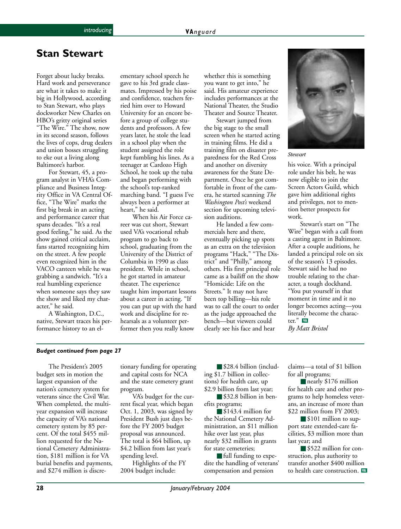#### <span id="page-27-0"></span>**Stan Stewart**

Forget about lucky breaks. Hard work and perseverance are what it takes to make it big in Hollywood, according to Stan Stewart, who plays dockworker New Charles on HBO's gritty original series "The Wire." The show, now in its second season, follows the lives of cops, drug dealers and union bosses struggling to eke out a living along Baltimore's harbor.

For Stewart, 45, a program analyst in VHA's Compliance and Business Integrity Office in VA Central Office, "The Wire" marks the first big break in an acting and performance career that spans decades. "It's a real good feeling," he said. As the show gained critical acclaim, fans started recognizing him on the street. A few people even recognized him in the VACO canteen while he was grabbing a sandwich. "It's a real humbling experience when someone says they saw the show and liked my character," he said.

A Washington, D.C., native, Stewart traces his performance history to an elementary school speech he gave to his 3rd grade classmates. Impressed by his poise and confidence, teachers ferried him over to Howard University for an encore before a group of college students and professors. A few years later, he stole the lead in a school play when the student assigned the role kept fumbling his lines. As a teenager at Cardozo High School, he took up the tuba and began performing with the school's top-ranked marching band. "I guess I've always been a performer at heart," he said.

When his Air Force career was cut short, Stewart used VA's vocational rehab program to go back to school, graduating from the University of the District of Columbia in 1990 as class president. While in school, he got started in amateur theater. The experience taught him important lessons about a career in acting. "If you can put up with the hard work and discipline for rehearsals as a volunteer performer then you really know

whether this is something you want to get into," he said. His amateur experience includes performances at the National Theater, the Studio Theater and Source Theater.

Stewart jumped from the big stage to the small screen when he started acting in training films. He did a training film on disaster preparedness for the Red Cross and another on diversity awareness for the State Department. Once he got comfortable in front of the camera, he started scanning *The Washington Post's* weekend section for upcoming television auditions.

He landed a few commercials here and there, eventually picking up spots as an extra on the television programs "Hack," "The District" and "Philly," among others. His first principal role came as a bailiff on the show "Homicide: Life on the Streets." It may not have been top billing—his role was to call the court to order as the judge approached the bench—but viewers could clearly see his face and hear



*Stewart*

his voice. With a principal role under his belt, he was now eligible to join the Screen Actors Guild, which gave him additional rights and privileges, not to mention better prospects for work.

Stewart's start on "The Wire" began with a call from a casting agent in Baltimore. After a couple auditions, he landed a principal role on six of the season's 13 episodes. Stewart said he had no trouble relating to the character, a tough dockhand. "You put yourself in that moment in time and it no longer becomes acting—you literally become the character." VA

*By Matt Bristol*

#### *Budget continued from page 27*

The President's 2005 budget sets in motion the largest expansion of the nation's cemetery system for veterans since the Civil War. When completed, the multiyear expansion will increase the capacity of VA's national cemetery system by 85 percent. Of the total \$455 million requested for the National Cemetery Administration, \$181 million is for VA burial benefits and payments, and \$274 million is discretionary funding for operating and capital costs for NCA and the state cemetery grant program.

VA's budget for the current fiscal year, which began Oct. 1, 2003, was signed by President Bush just days before the FY 2005 budget proposal was announced. The total is \$64 billion, up \$4.2 billion from last year's spending level.

Highlights of the FY 2004 budget include:

■ \$28.4 billion (including \$1.7 billion in collections) for health care, up \$2.9 billion from last year;

■ \$32.8 billion in benefits programs;

■ \$143.4 million for the National Cemetery Administration, an \$11 million hike over last year, plus nearly \$32 million in grants for state cemeteries;

■ full funding to expedite the handling of veterans' compensation and pension

claims—a total of \$1 billion for all programs;

■ nearly \$176 million for health care and other programs to help homeless veterans, an increase of more than \$22 million from FY 2003;

■ \$101 million to support state extended-care facilities, \$3 million more than last year; and

■ \$522 million for construction, plus authority to transfer another \$400 million to health care construction. WA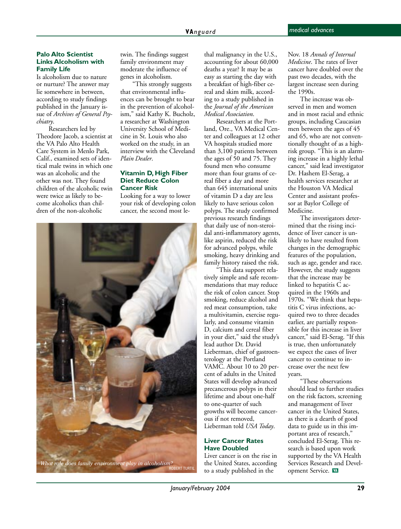#### <span id="page-28-0"></span>**Palo Alto Scientist Links Alcoholism with Family Life**

Is alcoholism due to nature or nurture? The answer may lie somewhere in between, according to study findings published in the January issue of *Archives of General Psychiatry*.

Researchers led by Theodore Jacob, a scientist at the VA Palo Alto Health Care System in Menlo Park, Calif., examined sets of identical male twins in which one was an alcoholic and the other was not. They found children of the alcoholic twin were twice as likely to become alcoholics than children of the non-alcoholic

twin. The findings suggest family environment may moderate the influence of genes in alcoholism.

"This strongly suggests that environmental influences can be brought to bear in the prevention of alcoholism," said Kathy K. Bucholz, a researcher at Washington University School of Medicine in St. Louis who also worked on the study, in an interview with the Cleveland *Plain Dealer*.

#### **Vitamin D, High Fiber Diet Reduce Colon Cancer Risk**

Looking for a way to lower your risk of developing colon cancer, the second most le-



thal malignancy in the U.S., accounting for about 60,000 deaths a year? It may be as easy as starting the day with a breakfast of high-fiber cereal and skim milk, according to a study published in the *Journal of the American Medical Association*.

Researchers at the Portland, Ore., VA Medical Center and colleagues at 12 other VA hospitals studied more than 3,100 patients between the ages of 50 and 75. They found men who consume more than four grams of cereal fiber a day and more than 645 international units of vitamin D a day are less likely to have serious colon polyps. The study confirmed previous research findings that daily use of non-steroidal anti-inflammatory agents, like aspirin, reduced the risk for advanced polyps, while smoking, heavy drinking and family history raised the risk.

"This data support relatively simple and safe recommendations that may reduce the risk of colon cancer. Stop smoking, reduce alcohol and red meat consumption, take a multivitamin, exercise regularly, and consume vitamin D, calcium and cereal fiber in your diet," said the study's lead author Dr. David Lieberman, chief of gastroenterology at the Portland VAMC. About 10 to 20 percent of adults in the United States will develop advanced precancerous polyps in their lifetime and about one-half to one-quarter of such growths will become cancerous if not removed, Lieberman told *USA Today*.

#### **Liver Cancer Rates Have Doubled**

Liver cancer is on the rise in the United States, according to a study published in the

Nov. 18 *Annals of Internal Medicine*. The rates of liver cancer have doubled over the past two decades, with the largest increase seen during the 1990s.

The increase was observed in men and women and in most racial and ethnic groups, including Caucasian men between the ages of 45 and 65, who are not conventionally thought of as a highrisk group. "This is an alarming increase in a highly lethal cancer," said lead investigator Dr. Hashem El-Serag, a health services researcher at the Houston VA Medical Center and assistant professor at Baylor College of Medicine.

The investigators determined that the rising incidence of liver cancer is unlikely to have resulted from changes in the demographic features of the population, such as age, gender and race. However, the study suggests that the increase may be linked to hepatitis  $\dot{C}$  acquired in the 1960s and 1970s. "We think that hepatitis C virus infections, acquired two to three decades earlier, are partially responsible for this increase in liver cancer," said El-Serag. "If this is true, then unfortunately we expect the cases of liver cancer to continue to increase over the next few years.

"These observations should lead to further studies on the risk factors, screening and management of liver cancer in the United States, as there is a dearth of good data to guide us in this important area of research," concluded El-Serag. This research is based upon work supported by the VA Health Services Research and Development Service.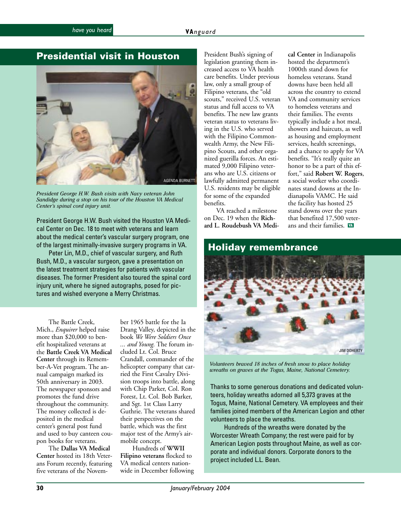#### <span id="page-29-0"></span>**Presidential visit in Houston**



*President George H.W. Bush visits with Navy veteran John Sandidge during a stop on his tour of the Houston VA Medical Center's spinal cord injury unit.*

President George H.W. Bush visited the Houston VA Medical Center on Dec. 18 to meet with veterans and learn about the medical center's vascular surgery program, one of the largest minimally-invasive surgery programs in VA.

Peter Lin, M.D., chief of vascular surgery, and Ruth Bush, M.D., a vascular surgeon, gave a presentation on the latest treatment strategies for patients with vascular diseases. The former President also toured the spinal cord injury unit, where he signed autographs, posed for pictures and wished everyone a Merry Christmas.

The Battle Creek, Mich., *Enquirer* helped raise more than \$20,000 to benefit hospitalized veterans at the **Battle Creek VA Medical Center** through its Remember-A-Vet program. The annual campaign marked its 50th anniversary in 2003. The newspaper sponsors and promotes the fund drive throughout the community. The money collected is deposited in the medical center's general post fund and used to buy canteen coupon books for veterans.

The **Dallas VA Medical Center** hosted its 18th Veterans Forum recently, featuring five veterans of the November 1965 battle for the Ia Drang Valley, depicted in the book *We Were Soldiers Once ... and Young.* The forum included Lt. Col. Bruce Crandall, commander of the helicopter company that carried the First Cavalry Division troops into battle, along with Chip Parker, Col. Ron Forest, Lt. Col. Bob Barker, and Sgt. 1st Class Larry Guthrie. The veterans shared their perspectives on the battle, which was the first major test of the Army's airmobile concept.

Hundreds of **WWII Filipino veterans** flocked to VA medical centers nationwide in December following

President Bush's signing of legislation granting them increased access to VA health care benefits. Under previous law, only a small group of Filipino veterans, the "old scouts," received U.S. veteran status and full access to VA benefits. The new law grants veteran status to veterans living in the U.S. who served with the Filipino Commonwealth Army, the New Filipino Scouts, and other organized guerilla forces. An estimated 9,000 Filipino veterans who are U.S. citizens or lawfully admitted permanent U.S. residents may be eligible for some of the expanded benefits.

VA reached a milestone on Dec. 19 when the **Rich-**

**cal Center** in Indianapolis hosted the department's 1000th stand down for homeless veterans. Stand downs have been held all across the country to extend VA and community services to homeless veterans and their families. The events typically include a hot meal, showers and haircuts, as well as housing and employment services, health screenings, and a chance to apply for VA benefits. "It's really quite an honor to be a part of this effort," said **Robert W. Rogers**, a social worker who coordinates stand downs at the Indianapolis VAMC. He said the facility has hosted 25 stand downs over the years that benefited 17,500 veterans and their families.



*Volunteers braved 18 inches of fresh snow to place holiday wreaths on graves at the Togus, Maine, National Cemetery.*

Thanks to some generous donations and dedicated volunteers, holiday wreaths adorned all 5,373 graves at the Togus, Maine, National Cemetery. VA employees and their families joined members of the American Legion and other volunteers to place the wreaths.

 Hundreds of the wreaths were donated by the Worcester Wreath Company; the rest were paid for by American Legion posts throughout Maine, as well as corporate and individual donors. Corporate donors to the project included L.L. Bean.

**30** *January/February 2004*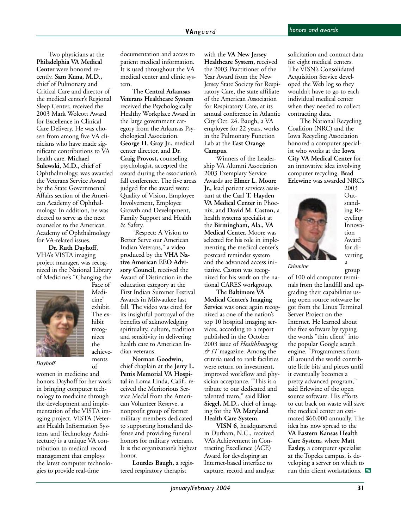<span id="page-30-0"></span>elected to serve as the next Far<br>equipolar to the American Two physicians at the **Philadelphia VA Medical Center** were honored recently. **Sam Kuna, M.D.,** chief of Pulmonary and Critical Care and director of the medical center's Regional Sleep Center, received the 2003 Mark Wolcott Award for Excellence in Clinical Care Delivery. He was chosen from among five VA clinicians who have made significant contributions to VA health care. **Michael Sulewski, M.D.,** chief of Ophthalmology, was awarded the Veterans Service Award by the State Governmental Affairs section of the American Academy of Ophthalmology. In addition, he was counselor to the American Academy of Ophthalmology for VA-related issues.

**Dr. Ruth Dayhoff,** VHA's VISTA imaging project manager, was recognized in the National Library of Medicine's "Changing the Face of



cine" exhibit. The exhibit recognizes the achievements of

Medi-

*Dayhoff*

women in medicine and honors Dayhoff for her work in bringing computer technology to medicine through the development and implementation of the VISTA imaging project. VISTA (Veterans Health Information Systems and Technology Architecture) is a unique VA contribution to medical record management that employs the latest computer technologies to provide real-time

documentation and access to patient medical information. It is used throughout the VA medical center and clinic system.

The **Central Arkansas Veterans Healthcare System** received the Psychologically Healthy Workplace Award in the large government category from the Arkansas Psychological Association. **George H. Gray Jr.,** medical center director, and **Dr. Craig Provost,** counseling psychologist, accepted the award during the association's fall conference. The five areas judged for the award were: Quality of Vision, Employee Involvement, Employee Growth and Development, Family Support and Health & Safety.

"Respect: A Vision to Better Serve our American Indian Veterans," a video produced by the **VHA Native American EEO Advisory Council,** received the Award of Distinction in the education category at the First Indian Summer Festival Awards in Milwaukee last fall. The video was cited for its insightful portrayal of the benefits of acknowledging spirituality, culture, tradition and sensitivity in delivering health care to American Indian veterans.

**Norman Goodwin**, chief chaplain at the **Jerry L. Pettis Memorial VA Hospital** in Loma Linda, Calif., received the Meritorious Service Medal from the American Volunteer Reserve, a nonprofit group of former military members dedicated to supporting homeland defense and providing funeral honors for military veterans. It is the organization's highest honor.

**Lourdes Baugh,** a registered respiratory therapist

with the **VA New Jersey Healthcare System,** received the 2003 Practitioner of the Year Award from the New Jersey State Society for Respiratory Care, the state affiliate of the American Association for Respiratory Care, at its annual conference in Atlantic City Oct. 24. Baugh, a VA employee for 22 years, works in the Pulmonary Function Lab at the **East Orange Campus**.

Winners of the Leadership VA Alumni Association 2003 Exemplary Service Awards are **Elmer L. Moore Jr.,** lead patient services assistant at the **Carl T. Hayden VA Medical Center** in Phoenix, and **David M. Caston,** a health systems specialist at the **Birmingham, Ala., VA Medical Center.** Moore was selected for his role in implementing the medical center's postcard reminder system and the advanced access initiative. Caston was recognized for his work on the national CARES workgroup.

The **Baltimore VA Medical Center's Imaging Service** was once again recognized as one of the nation's top 10 hospital imaging services, according to a report published in the October 2003 issue of *HealthImaging & IT* magazine. Among the criteria used to rank facilities were return on investment, improved workflow and physician acceptance. "This is a tribute to our dedicated and talented team," said **Eliot Siegel, M.D.,** chief of imaging for the **VA Maryland Health Care System**.

**VISN 6,** headquartered in Durham, N.C., received VA's Achievement in Contracting Excellence (ACE) Award for developing an Internet-based interface to capture, record and analyze

solicitation and contract data for eight medical centers. The VISN's Consolidated Acquisition Service developed the Web log so they wouldn't have to go to each individual medical center when they needed to collect contracting data.

The National Recycling Coalition (NRC) and the Iowa Recycling Association honored a computer specialist who works at the **Iowa City VA Medical Center** for an innovative idea involving computer recycling. **Brad Erlewine** was awarded NRC's



2003 Outstanding Recycling Innovation Award for diverting a group

*Erlewine*

of 100 old computer terminals from the landfill and upgrading their capabilities using open source software he got from the Linux Terminal Server Project on the Internet. He learned about the free software by typing the words "thin client" into the popular Google search engine. "Programmers from all around the world contribute little bits and pieces until it eventually becomes a pretty advanced program," said Erlewine of the open source software. His efforts to cut back on waste will save the medical center an estimated \$60,000 annually. The idea has now spread to the **VA Eastern Kansas Health Care System,** where **Matt Easley,** a computer specialist at the Topeka campus, is developing a server on which to run thin client workstations. WA